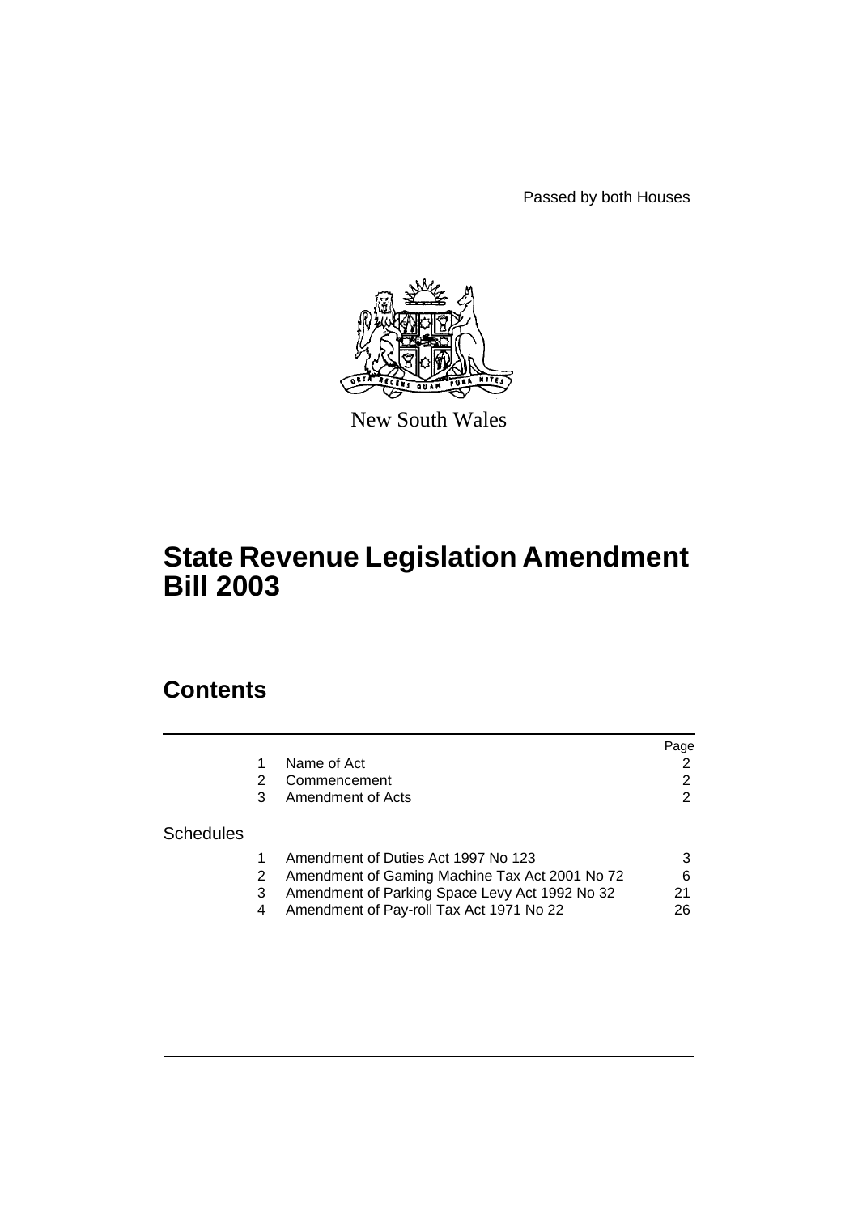Passed by both Houses



New South Wales

# **State Revenue Legislation Amendment Bill 2003**

# **Contents**

|                  |                                                | Page |
|------------------|------------------------------------------------|------|
|                  | Name of Act                                    | 2    |
|                  | Commencement                                   | 2    |
|                  | Amendment of Acts                              | 2    |
| <b>Schedules</b> |                                                |      |
|                  | Amendment of Duties Act 1997 No 123            | 3    |
|                  | Amendment of Gaming Machine Tax Act 2001 No 72 | 6    |
|                  | Amendment of Parking Space Levy Act 1992 No 32 | 21   |
|                  | Amendment of Pay-roll Tax Act 1971 No 22       | 26   |
|                  |                                                |      |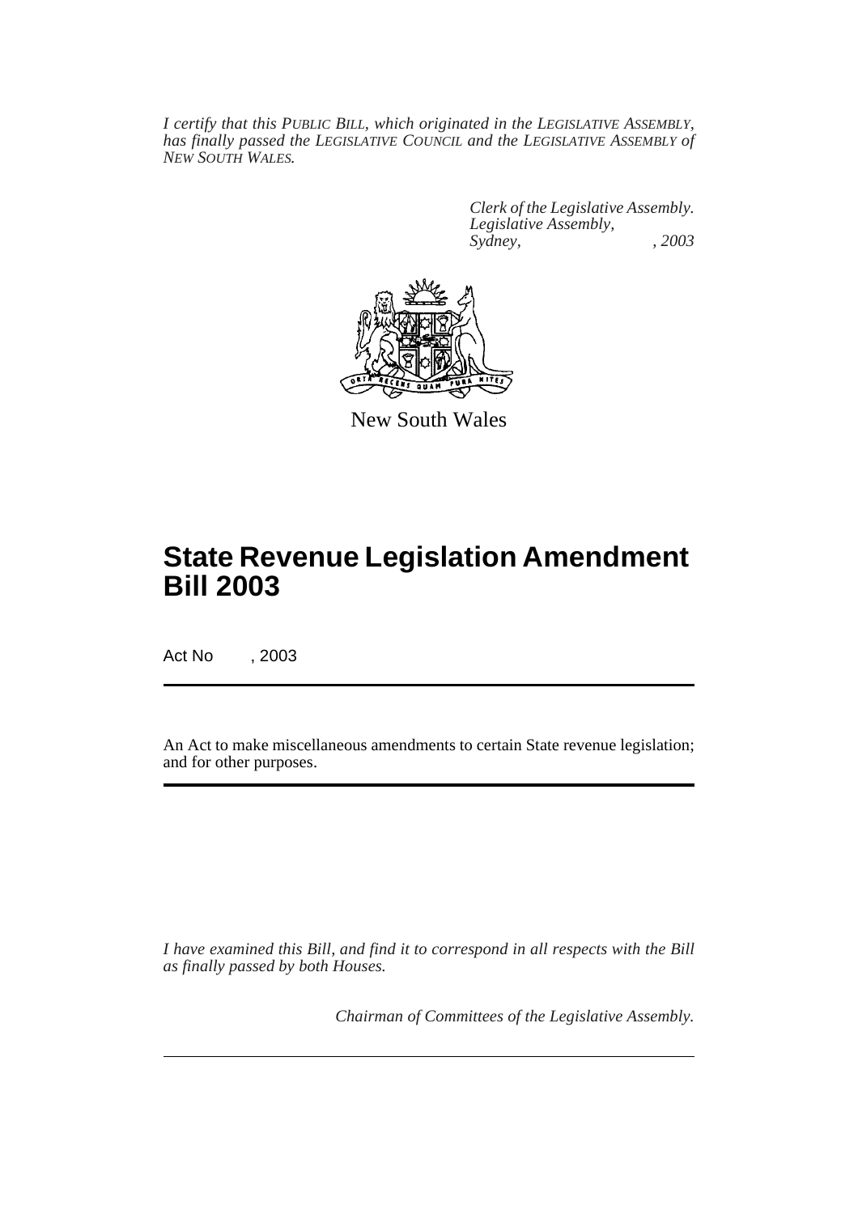*I certify that this PUBLIC BILL, which originated in the LEGISLATIVE ASSEMBLY, has finally passed the LEGISLATIVE COUNCIL and the LEGISLATIVE ASSEMBLY of NEW SOUTH WALES.*

> *Clerk of the Legislative Assembly. Legislative Assembly, Sydney, , 2003*



New South Wales

# **State Revenue Legislation Amendment Bill 2003**

Act No , 2003

An Act to make miscellaneous amendments to certain State revenue legislation; and for other purposes.

*I have examined this Bill, and find it to correspond in all respects with the Bill as finally passed by both Houses.*

*Chairman of Committees of the Legislative Assembly.*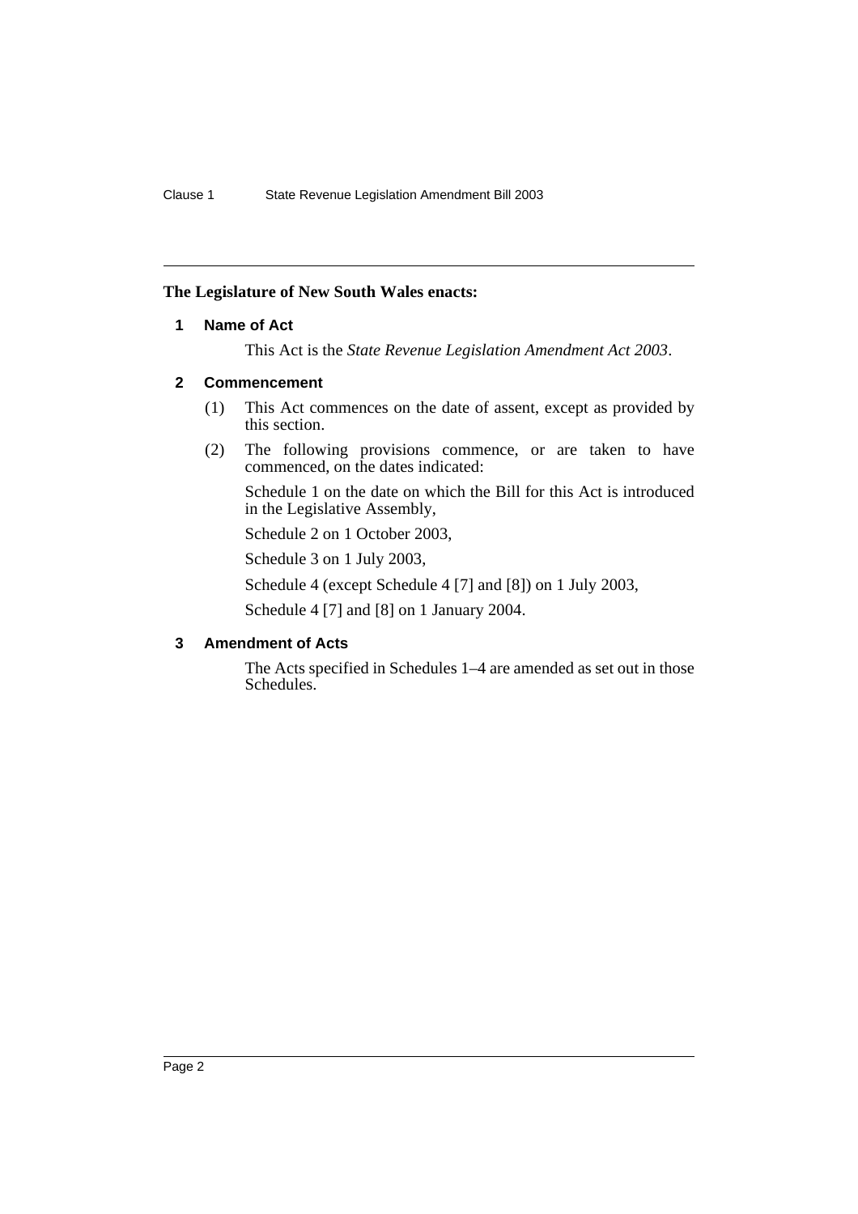### <span id="page-2-0"></span>**The Legislature of New South Wales enacts:**

### **1 Name of Act**

This Act is the *State Revenue Legislation Amendment Act 2003*.

### <span id="page-2-1"></span>**2 Commencement**

- (1) This Act commences on the date of assent, except as provided by this section.
- (2) The following provisions commence, or are taken to have commenced, on the dates indicated:

Schedule 1 on the date on which the Bill for this Act is introduced in the Legislative Assembly,

Schedule 2 on 1 October 2003,

Schedule 3 on 1 July 2003,

Schedule 4 (except Schedule 4 [7] and [8]) on 1 July 2003,

Schedule 4 [7] and [8] on 1 January 2004.

### <span id="page-2-2"></span>**3 Amendment of Acts**

The Acts specified in Schedules 1–4 are amended as set out in those Schedules.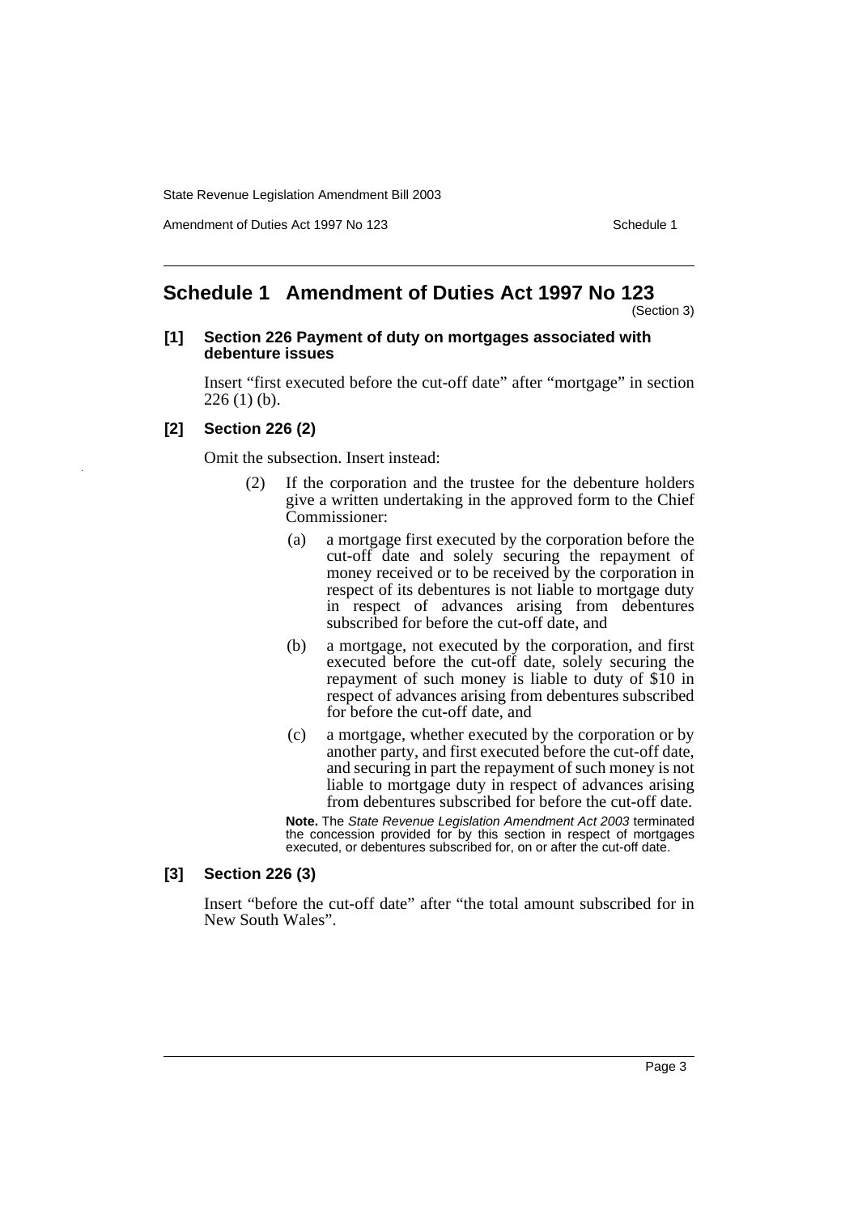Amendment of Duties Act 1997 No 123 Schedule 1

# <span id="page-3-0"></span>**Schedule 1 Amendment of Duties Act 1997 No 123**

(Section 3)

### **[1] Section 226 Payment of duty on mortgages associated with debenture issues**

Insert "first executed before the cut-off date" after "mortgage" in section  $226(1)$  (b).

### **[2] Section 226 (2)**

Omit the subsection. Insert instead:

- (2) If the corporation and the trustee for the debenture holders give a written undertaking in the approved form to the Chief Commissioner:
	- (a) a mortgage first executed by the corporation before the cut-off date and solely securing the repayment of money received or to be received by the corporation in respect of its debentures is not liable to mortgage duty in respect of advances arising from debentures subscribed for before the cut-off date, and
	- (b) a mortgage, not executed by the corporation, and first executed before the cut-off date, solely securing the repayment of such money is liable to duty of \$10 in respect of advances arising from debentures subscribed for before the cut-off date, and
	- (c) a mortgage, whether executed by the corporation or by another party, and first executed before the cut-off date, and securing in part the repayment of such money is not liable to mortgage duty in respect of advances arising from debentures subscribed for before the cut-off date.

**Note.** The State Revenue Legislation Amendment Act 2003 terminated the concession provided for by this section in respect of mortgages executed, or debentures subscribed for, on or after the cut-off date.

### **[3] Section 226 (3)**

Insert "before the cut-off date" after "the total amount subscribed for in New South Wales".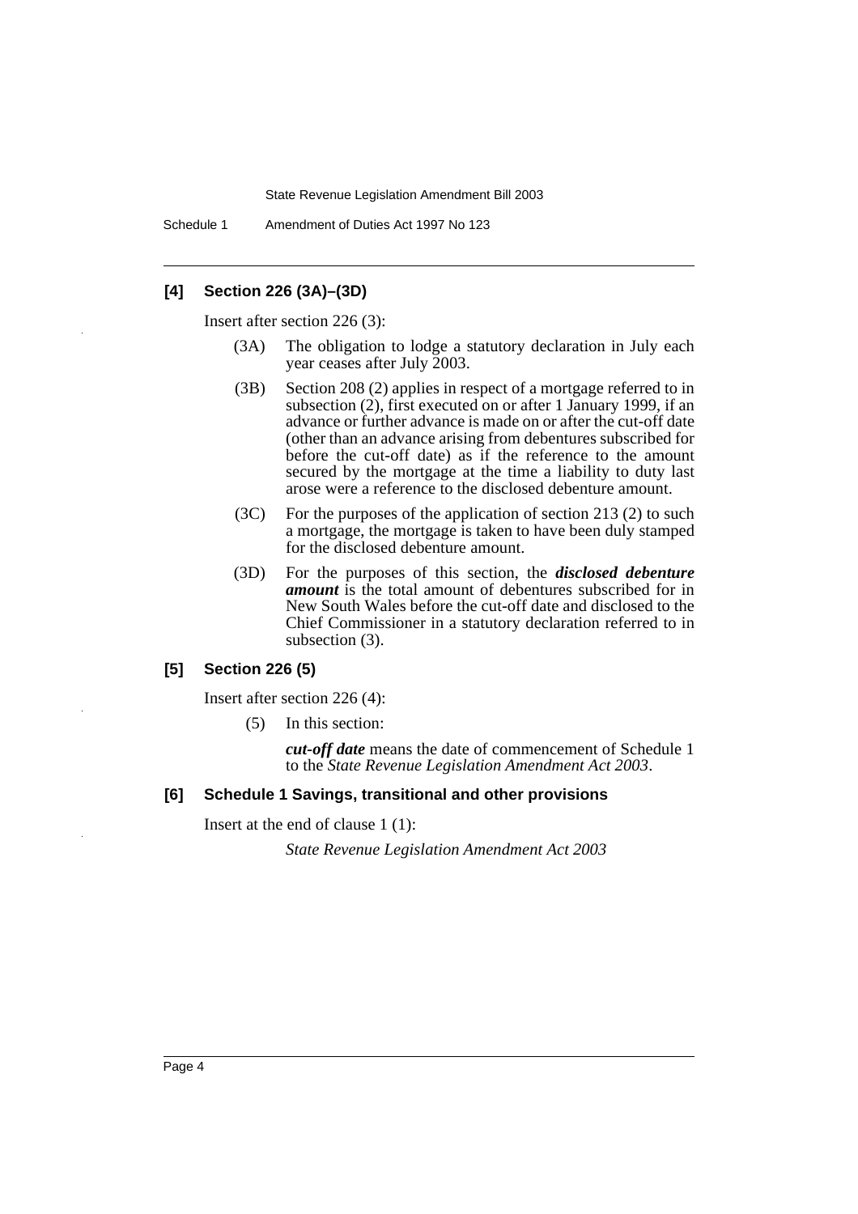Schedule 1 Amendment of Duties Act 1997 No 123

### **[4] Section 226 (3A)–(3D)**

Insert after section 226 (3):

- (3A) The obligation to lodge a statutory declaration in July each year ceases after July 2003.
- (3B) Section 208 (2) applies in respect of a mortgage referred to in subsection (2), first executed on or after 1 January 1999, if an advance or further advance is made on or after the cut-off date (other than an advance arising from debentures subscribed for before the cut-off date) as if the reference to the amount secured by the mortgage at the time a liability to duty last arose were a reference to the disclosed debenture amount.
- (3C) For the purposes of the application of section 213 (2) to such a mortgage, the mortgage is taken to have been duly stamped for the disclosed debenture amount.
- (3D) For the purposes of this section, the *disclosed debenture amount* is the total amount of debentures subscribed for in New South Wales before the cut-off date and disclosed to the Chief Commissioner in a statutory declaration referred to in subsection (3).

### **[5] Section 226 (5)**

Insert after section 226 (4):

(5) In this section:

*cut-off date* means the date of commencement of Schedule 1 to the *State Revenue Legislation Amendment Act 2003*.

### **[6] Schedule 1 Savings, transitional and other provisions**

Insert at the end of clause 1 (1):

*State Revenue Legislation Amendment Act 2003*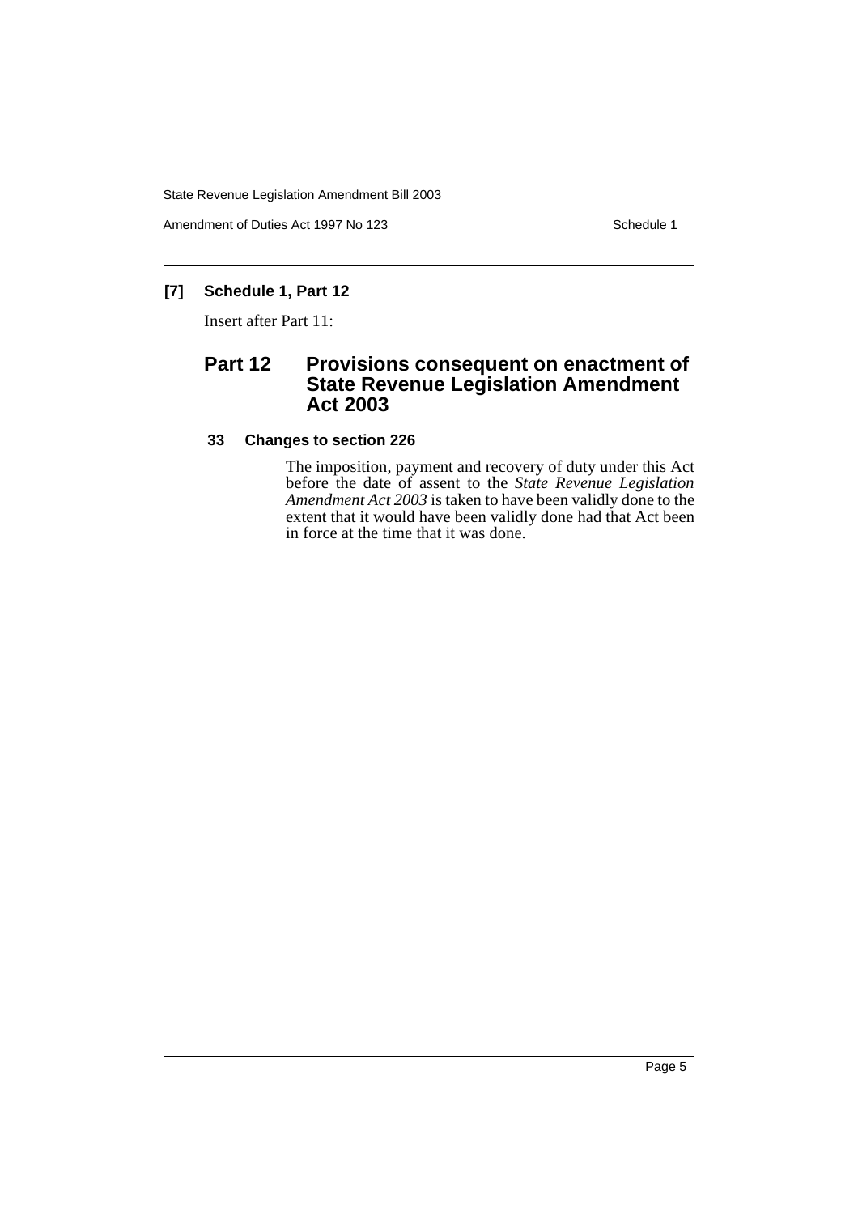Amendment of Duties Act 1997 No 123 Schedule 1

# **[7] Schedule 1, Part 12**

Insert after Part 11:

# **Part 12 Provisions consequent on enactment of State Revenue Legislation Amendment Act 2003**

### **33 Changes to section 226**

The imposition, payment and recovery of duty under this Act before the date of assent to the *State Revenue Legislation Amendment Act 2003* is taken to have been validly done to the extent that it would have been validly done had that Act been in force at the time that it was done.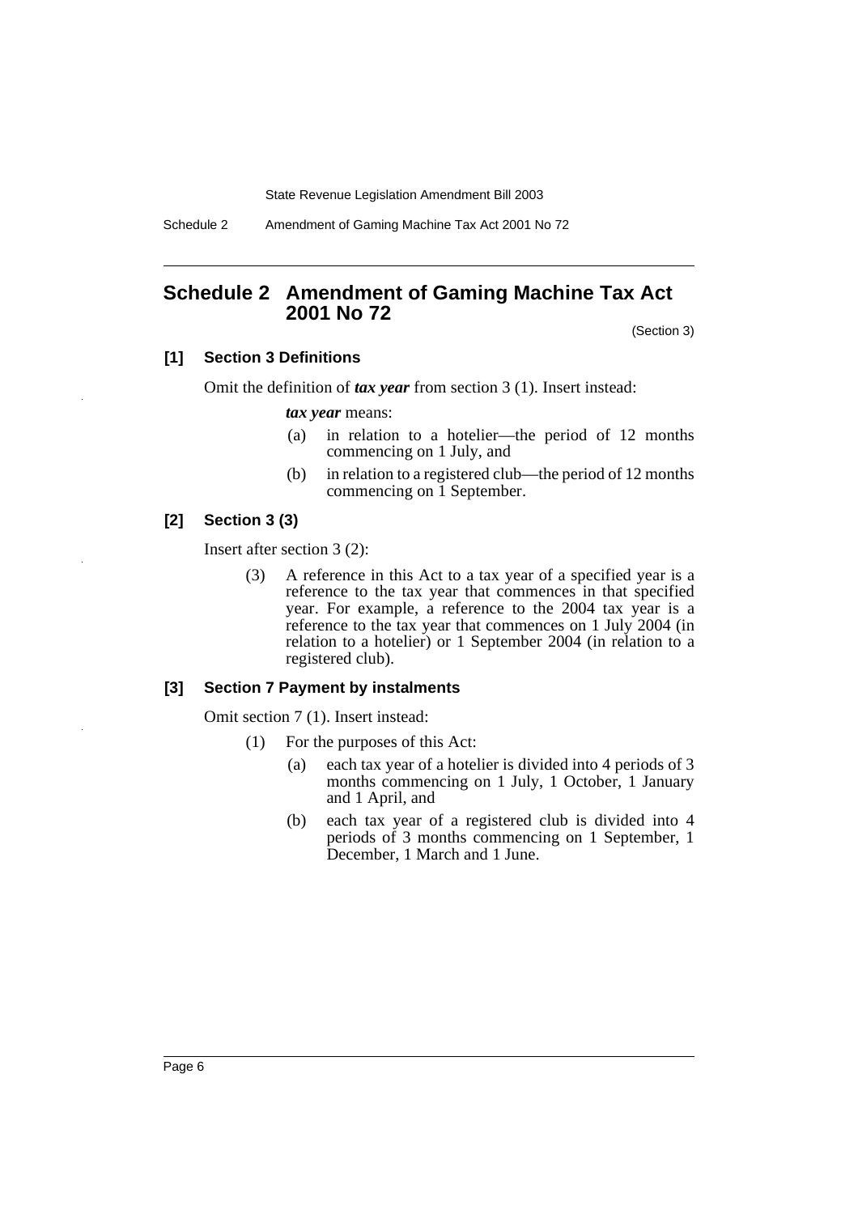Schedule 2 Amendment of Gaming Machine Tax Act 2001 No 72

# <span id="page-6-0"></span>**Schedule 2 Amendment of Gaming Machine Tax Act 2001 No 72**

(Section 3)

### **[1] Section 3 Definitions**

Omit the definition of *tax year* from section 3 (1). Insert instead:

*tax year* means:

- (a) in relation to a hotelier—the period of 12 months commencing on 1 July, and
- (b) in relation to a registered club—the period of 12 months commencing on 1 September.

#### **[2] Section 3 (3)**

Insert after section 3 (2):

(3) A reference in this Act to a tax year of a specified year is a reference to the tax year that commences in that specified year. For example, a reference to the 2004 tax year is a reference to the tax year that commences on 1 July 2004 (in relation to a hotelier) or 1 September 2004 (in relation to a registered club).

#### **[3] Section 7 Payment by instalments**

Omit section 7 (1). Insert instead:

- (1) For the purposes of this Act:
	- (a) each tax year of a hotelier is divided into 4 periods of 3 months commencing on 1 July, 1 October, 1 January and 1 April, and
	- (b) each tax year of a registered club is divided into 4 periods of 3 months commencing on 1 September, 1 December, 1 March and 1 June.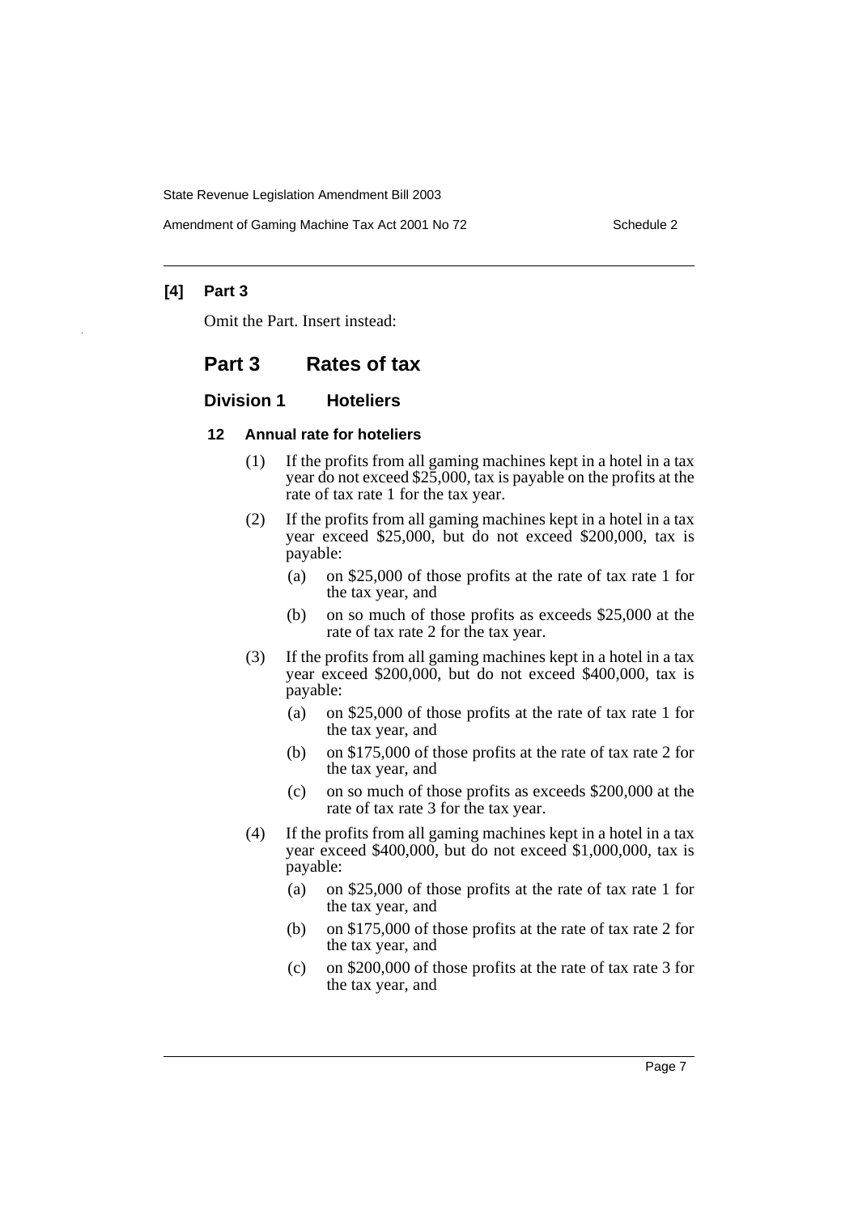Amendment of Gaming Machine Tax Act 2001 No 72 Schedule 2

### **[4] Part 3**

Omit the Part. Insert instead:

### **Part 3 Rates of tax**

### **Division 1 Hoteliers**

### **12 Annual rate for hoteliers**

- (1) If the profits from all gaming machines kept in a hotel in a tax year do not exceed \$25,000, tax is payable on the profits at the rate of tax rate 1 for the tax year.
- (2) If the profits from all gaming machines kept in a hotel in a tax year exceed \$25,000, but do not exceed \$200,000, tax is payable:
	- (a) on \$25,000 of those profits at the rate of tax rate 1 for the tax year, and
	- (b) on so much of those profits as exceeds \$25,000 at the rate of tax rate 2 for the tax year.
- (3) If the profits from all gaming machines kept in a hotel in a tax year exceed \$200,000, but do not exceed \$400,000, tax is payable:
	- (a) on \$25,000 of those profits at the rate of tax rate 1 for the tax year, and
	- (b) on \$175,000 of those profits at the rate of tax rate 2 for the tax year, and
	- (c) on so much of those profits as exceeds \$200,000 at the rate of tax rate 3 for the tax year.
- (4) If the profits from all gaming machines kept in a hotel in a tax year exceed \$400,000, but do not exceed \$1,000,000, tax is payable:
	- (a) on \$25,000 of those profits at the rate of tax rate 1 for the tax year, and
	- (b) on \$175,000 of those profits at the rate of tax rate 2 for the tax year, and
	- (c) on \$200,000 of those profits at the rate of tax rate 3 for the tax year, and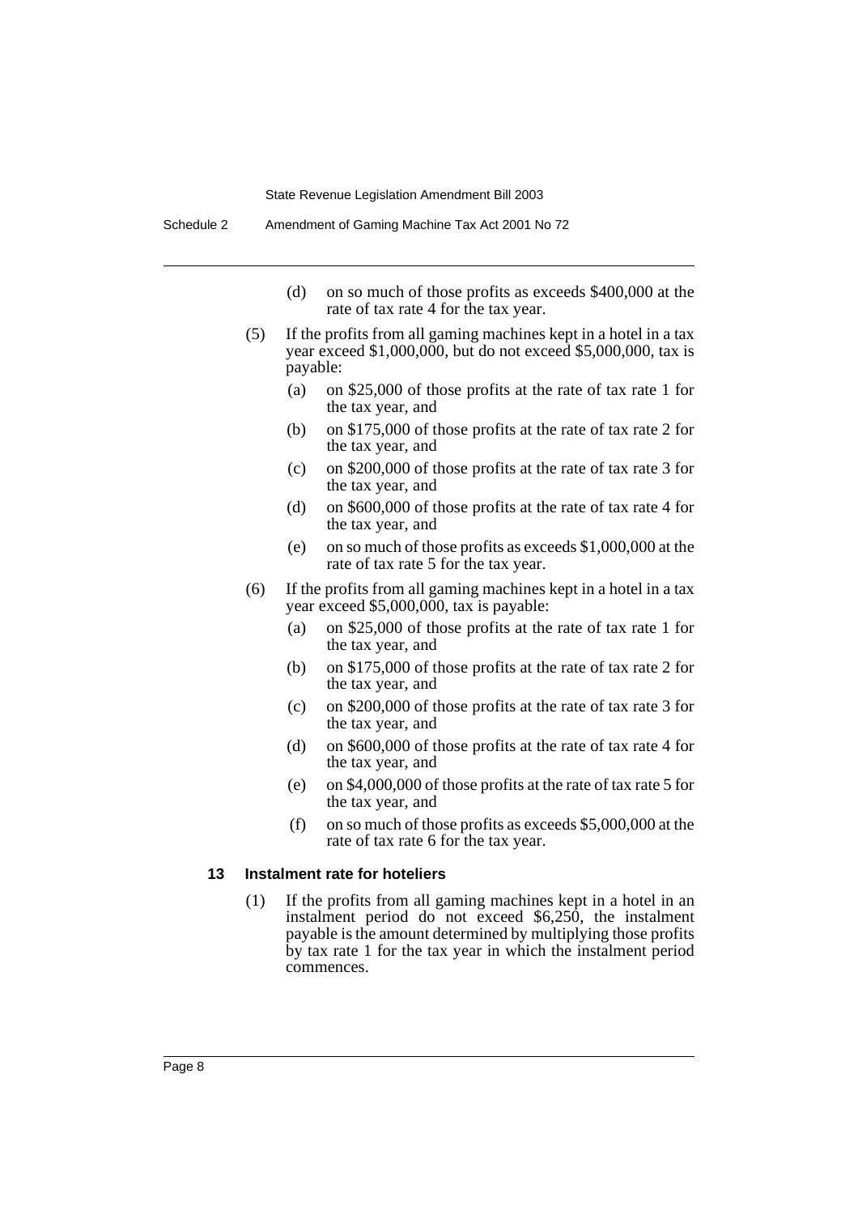- (d) on so much of those profits as exceeds \$400,000 at the rate of tax rate 4 for the tax year.
- (5) If the profits from all gaming machines kept in a hotel in a tax year exceed \$1,000,000, but do not exceed \$5,000,000, tax is payable:
	- (a) on \$25,000 of those profits at the rate of tax rate 1 for the tax year, and
	- (b) on \$175,000 of those profits at the rate of tax rate 2 for the tax year, and
	- (c) on \$200,000 of those profits at the rate of tax rate 3 for the tax year, and
	- (d) on \$600,000 of those profits at the rate of tax rate 4 for the tax year, and
	- (e) on so much of those profits as exceeds \$1,000,000 at the rate of tax rate 5 for the tax year.
- (6) If the profits from all gaming machines kept in a hotel in a tax year exceed \$5,000,000, tax is payable:
	- (a) on \$25,000 of those profits at the rate of tax rate 1 for the tax year, and
	- (b) on \$175,000 of those profits at the rate of tax rate 2 for the tax year, and
	- (c) on \$200,000 of those profits at the rate of tax rate 3 for the tax year, and
	- (d) on \$600,000 of those profits at the rate of tax rate 4 for the tax year, and
	- (e) on \$4,000,000 of those profits at the rate of tax rate 5 for the tax year, and
	- (f) on so much of those profits as exceeds \$5,000,000 at the rate of tax rate 6 for the tax year.

#### **13 Instalment rate for hoteliers**

(1) If the profits from all gaming machines kept in a hotel in an instalment period do not exceed \$6,250, the instalment payable is the amount determined by multiplying those profits by tax rate 1 for the tax year in which the instalment period commences.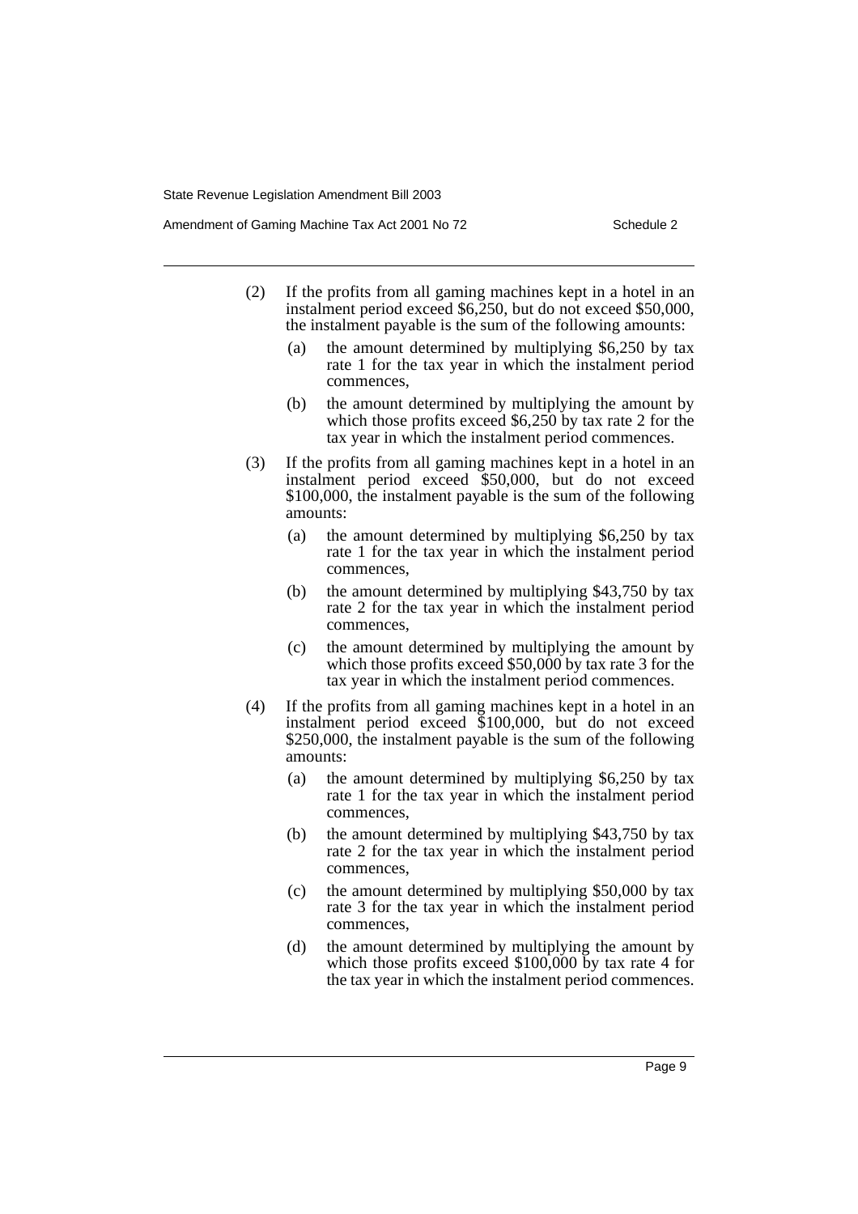Amendment of Gaming Machine Tax Act 2001 No 72 Schedule 2

- (2) If the profits from all gaming machines kept in a hotel in an instalment period exceed \$6,250, but do not exceed \$50,000, the instalment payable is the sum of the following amounts:
	- (a) the amount determined by multiplying \$6,250 by tax rate 1 for the tax year in which the instalment period commences,
	- (b) the amount determined by multiplying the amount by which those profits exceed \$6,250 by tax rate 2 for the tax year in which the instalment period commences.
- (3) If the profits from all gaming machines kept in a hotel in an instalment period exceed \$50,000, but do not exceed \$100,000, the instalment payable is the sum of the following amounts:
	- (a) the amount determined by multiplying \$6,250 by tax rate 1 for the tax year in which the instalment period commences,
	- (b) the amount determined by multiplying \$43,750 by tax rate 2 for the tax year in which the instalment period commences,
	- (c) the amount determined by multiplying the amount by which those profits exceed \$50,000 by tax rate 3 for the tax year in which the instalment period commences.
- (4) If the profits from all gaming machines kept in a hotel in an instalment period exceed \$100,000, but do not exceed \$250,000, the instalment payable is the sum of the following amounts:
	- (a) the amount determined by multiplying \$6,250 by tax rate 1 for the tax year in which the instalment period commences,
	- (b) the amount determined by multiplying \$43,750 by tax rate 2 for the tax year in which the instalment period commences,
	- (c) the amount determined by multiplying \$50,000 by tax rate 3 for the tax year in which the instalment period commences,
	- (d) the amount determined by multiplying the amount by which those profits exceed \$100,000 by tax rate 4 for the tax year in which the instalment period commences.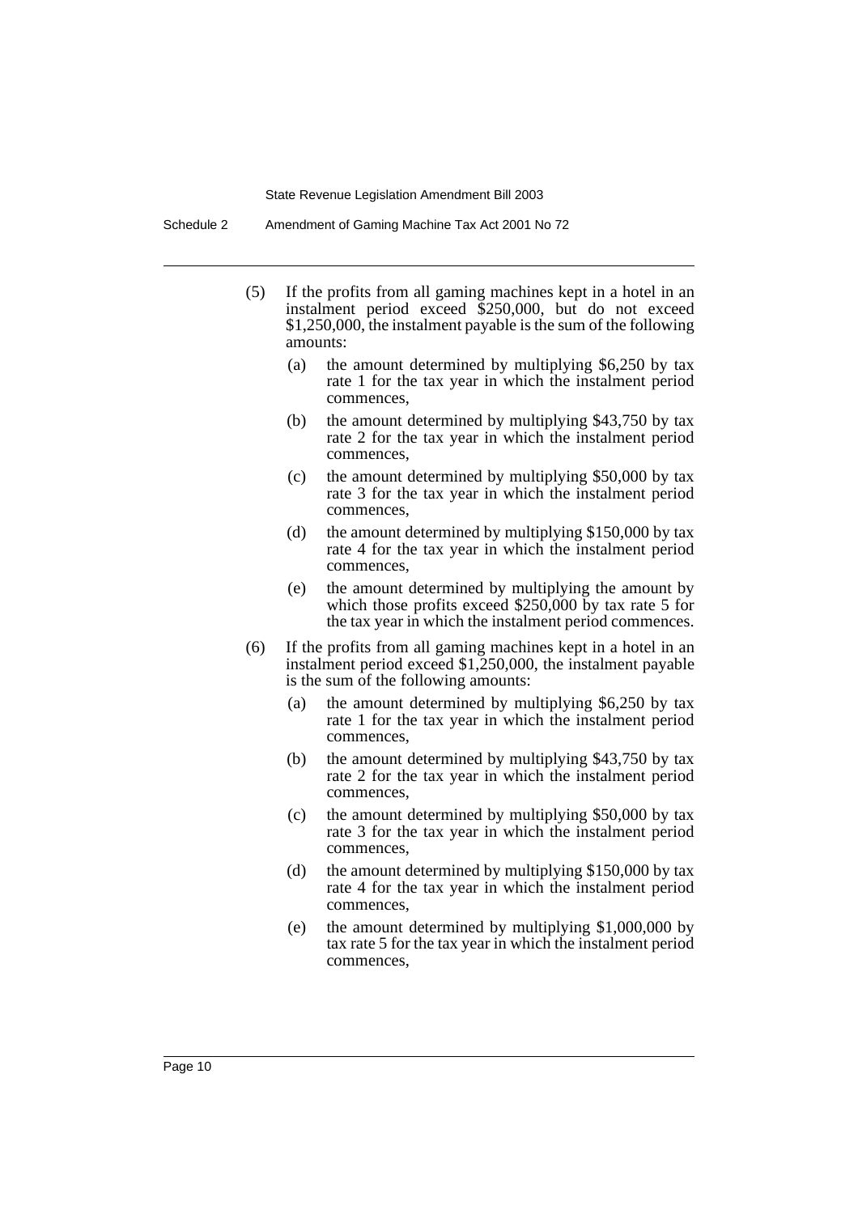- (5) If the profits from all gaming machines kept in a hotel in an instalment period exceed \$250,000, but do not exceed \$1,250,000, the instalment payable is the sum of the following amounts:
	- (a) the amount determined by multiplying \$6,250 by tax rate 1 for the tax year in which the instalment period commences,
	- (b) the amount determined by multiplying \$43,750 by tax rate 2 for the tax year in which the instalment period commences,
	- (c) the amount determined by multiplying \$50,000 by tax rate 3 for the tax year in which the instalment period commences,
	- (d) the amount determined by multiplying \$150,000 by tax rate 4 for the tax year in which the instalment period commences,
	- (e) the amount determined by multiplying the amount by which those profits exceed \$250,000 by tax rate 5 for the tax year in which the instalment period commences.
- (6) If the profits from all gaming machines kept in a hotel in an instalment period exceed \$1,250,000, the instalment payable is the sum of the following amounts:
	- (a) the amount determined by multiplying \$6,250 by tax rate 1 for the tax year in which the instalment period commences,
	- (b) the amount determined by multiplying \$43,750 by tax rate 2 for the tax year in which the instalment period commences,
	- (c) the amount determined by multiplying \$50,000 by tax rate 3 for the tax year in which the instalment period commences,
	- (d) the amount determined by multiplying \$150,000 by tax rate 4 for the tax year in which the instalment period commences,
	- (e) the amount determined by multiplying \$1,000,000 by tax rate 5 for the tax year in which the instalment period commences,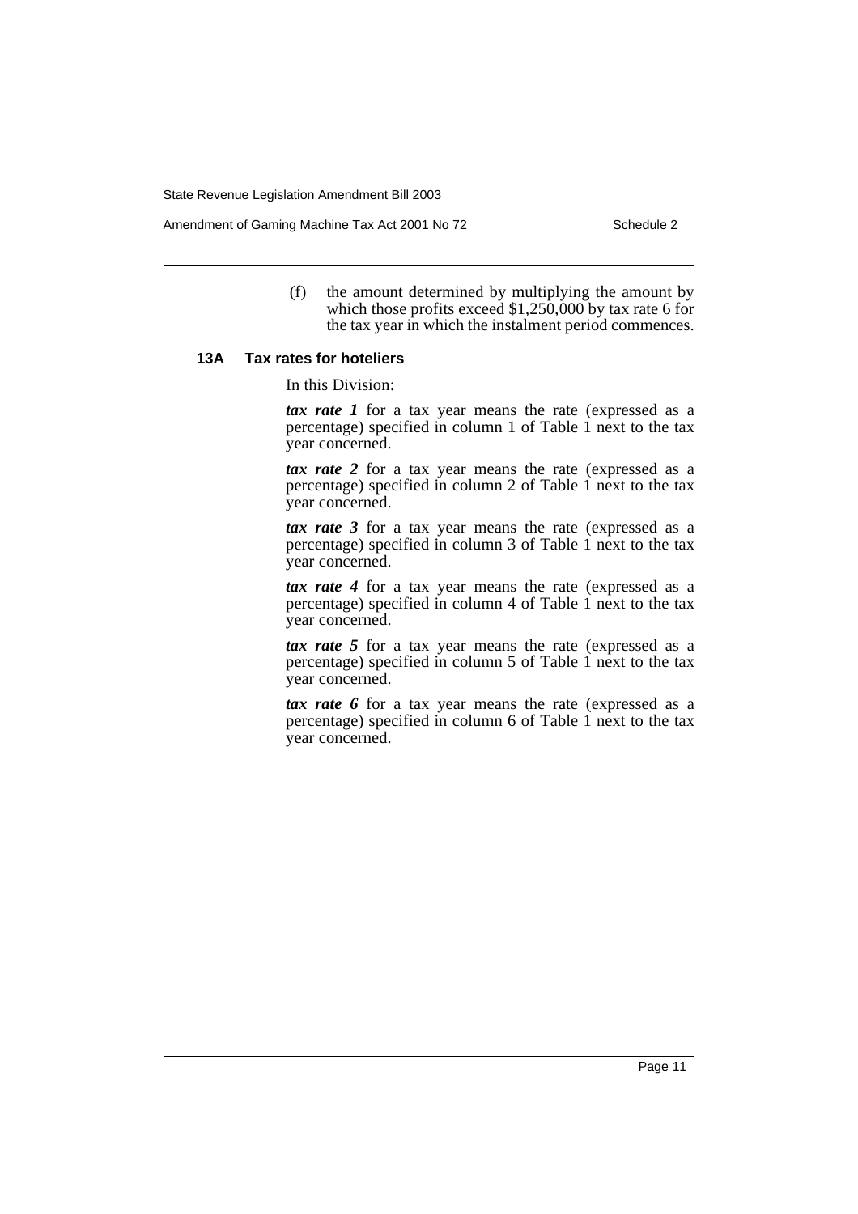Amendment of Gaming Machine Tax Act 2001 No 72 Schedule 2

(f) the amount determined by multiplying the amount by which those profits exceed  $$1,250,000$  by tax rate 6 for the tax year in which the instalment period commences.

#### **13A Tax rates for hoteliers**

In this Division:

*tax rate 1* for a tax year means the rate (expressed as a percentage) specified in column 1 of Table 1 next to the tax year concerned.

*tax rate 2* for a tax year means the rate (expressed as a percentage) specified in column 2 of Table 1 next to the tax year concerned.

*tax rate 3* for a tax year means the rate (expressed as a percentage) specified in column 3 of Table 1 next to the tax year concerned.

*tax rate 4* for a tax year means the rate (expressed as a percentage) specified in column 4 of Table 1 next to the tax year concerned.

*tax rate 5* for a tax year means the rate (expressed as a percentage) specified in column 5 of Table 1 next to the tax year concerned.

*tax rate 6* for a tax year means the rate (expressed as a percentage) specified in column 6 of Table 1 next to the tax year concerned.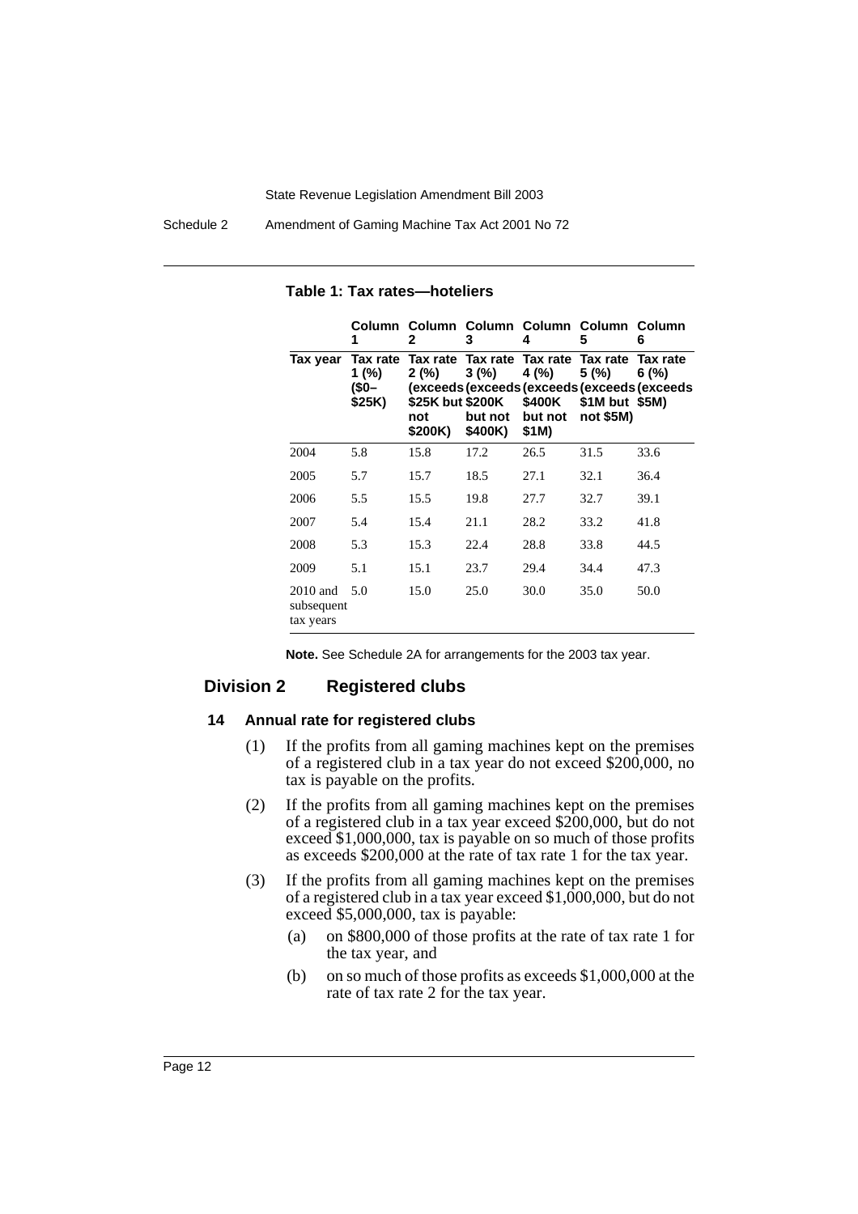Schedule 2 Amendment of Gaming Machine Tax Act 2001 No 72

|                                       | 1                                   | Column Column Column Column Column Column<br>2 | 3                                                                                     | 4                                   | 5                                   | 6                                                                |
|---------------------------------------|-------------------------------------|------------------------------------------------|---------------------------------------------------------------------------------------|-------------------------------------|-------------------------------------|------------------------------------------------------------------|
| Tax year                              | Tax rate<br>1(%)<br>(\$0-<br>\$25K) | 2(%)<br>not<br>\$200K)                         | Tax rate Tax rate Tax rate Tax rate<br>3(%)<br>\$25K but \$200K<br>but not<br>\$400K) | 4 (%)<br>\$400K<br>but not<br>\$1M) | 5(%)<br>\$1M but \$5M)<br>not \$5M) | Tax rate<br>6(%)<br>(exceeds (exceeds (exceeds (exceeds (exceeds |
| 2004                                  | 5.8                                 | 15.8                                           | 17.2                                                                                  | 26.5                                | 31.5                                | 33.6                                                             |
| 2005                                  | 5.7                                 | 15.7                                           | 18.5                                                                                  | 27.1                                | 32.1                                | 36.4                                                             |
| 2006                                  | 5.5                                 | 15.5                                           | 19.8                                                                                  | 27.7                                | 32.7                                | 39.1                                                             |
| 2007                                  | 5.4                                 | 15.4                                           | 21.1                                                                                  | 28.2                                | 33.2                                | 41.8                                                             |
| 2008                                  | 5.3                                 | 15.3                                           | 22.4                                                                                  | 28.8                                | 33.8                                | 44.5                                                             |
| 2009                                  | 5.1                                 | 15.1                                           | 23.7                                                                                  | 29.4                                | 34.4                                | 47.3                                                             |
| $2010$ and<br>subsequent<br>tax years | 5.0                                 | 15.0                                           | 25.0                                                                                  | 30.0                                | 35.0                                | 50.0                                                             |

**Table 1: Tax rates—hoteliers**

**Note.** See Schedule 2A for arrangements for the 2003 tax year.

### **Division 2 Registered clubs**

### **14 Annual rate for registered clubs**

- (1) If the profits from all gaming machines kept on the premises of a registered club in a tax year do not exceed \$200,000, no tax is payable on the profits.
- (2) If the profits from all gaming machines kept on the premises of a registered club in a tax year exceed \$200,000, but do not exceed \$1,000,000, tax is payable on so much of those profits as exceeds \$200,000 at the rate of tax rate 1 for the tax year.
- (3) If the profits from all gaming machines kept on the premises of a registered club in a tax year exceed \$1,000,000, but do not exceed \$5,000,000, tax is payable:
	- (a) on \$800,000 of those profits at the rate of tax rate 1 for the tax year, and
	- (b) on so much of those profits as exceeds \$1,000,000 at the rate of tax rate 2 for the tax year.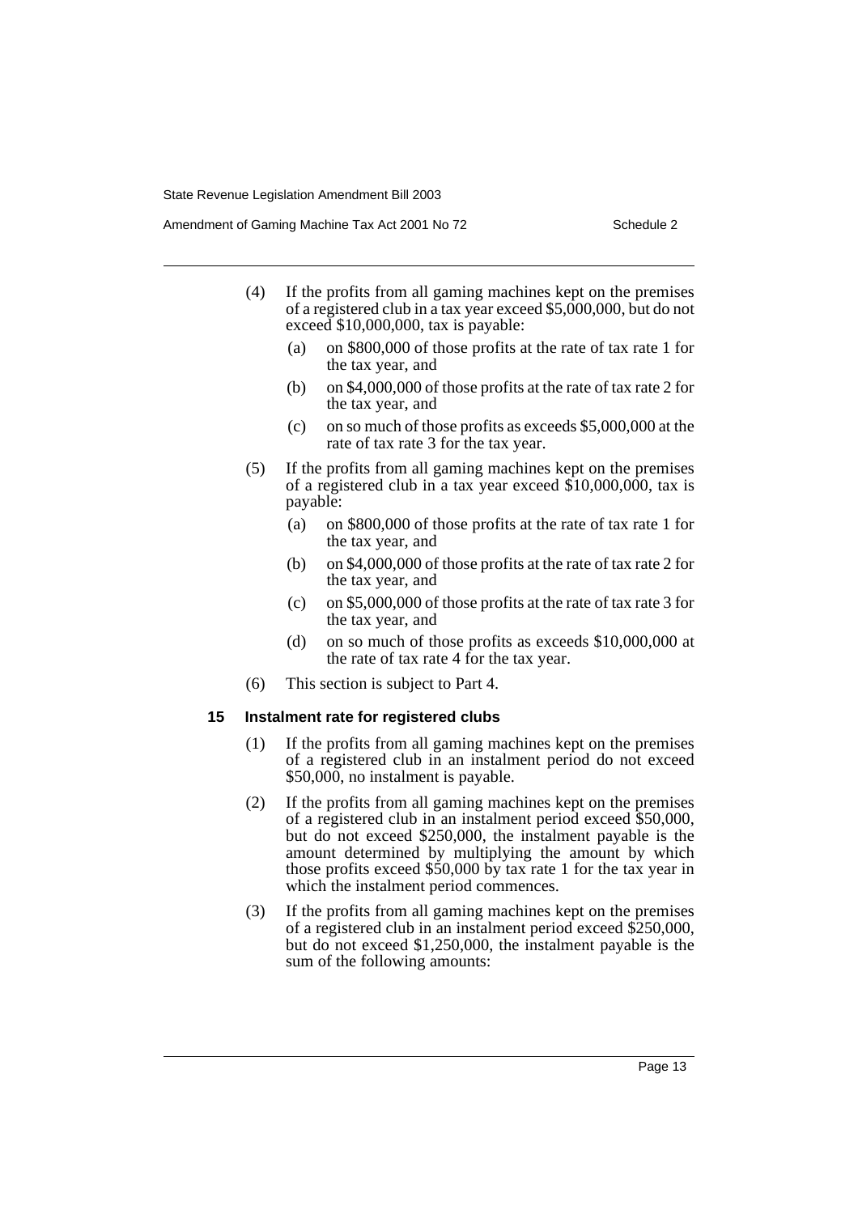Amendment of Gaming Machine Tax Act 2001 No 72 Schedule 2

- (4) If the profits from all gaming machines kept on the premises of a registered club in a tax year exceed \$5,000,000, but do not exceed \$10,000,000, tax is payable:
	- (a) on \$800,000 of those profits at the rate of tax rate 1 for the tax year, and
	- (b) on \$4,000,000 of those profits at the rate of tax rate 2 for the tax year, and
	- (c) on so much of those profits as exceeds \$5,000,000 at the rate of tax rate 3 for the tax year.
- (5) If the profits from all gaming machines kept on the premises of a registered club in a tax year exceed \$10,000,000, tax is payable:
	- (a) on \$800,000 of those profits at the rate of tax rate 1 for the tax year, and
	- (b) on \$4,000,000 of those profits at the rate of tax rate 2 for the tax year, and
	- (c) on \$5,000,000 of those profits at the rate of tax rate 3 for the tax year, and
	- (d) on so much of those profits as exceeds \$10,000,000 at the rate of tax rate 4 for the tax year.
- (6) This section is subject to Part 4.

#### **15 Instalment rate for registered clubs**

- (1) If the profits from all gaming machines kept on the premises of a registered club in an instalment period do not exceed \$50,000, no instalment is payable.
- (2) If the profits from all gaming machines kept on the premises of a registered club in an instalment period exceed \$50,000, but do not exceed \$250,000, the instalment payable is the amount determined by multiplying the amount by which those profits exceed \$50,000 by tax rate 1 for the tax year in which the instalment period commences.
- (3) If the profits from all gaming machines kept on the premises of a registered club in an instalment period exceed \$250,000, but do not exceed \$1,250,000, the instalment payable is the sum of the following amounts: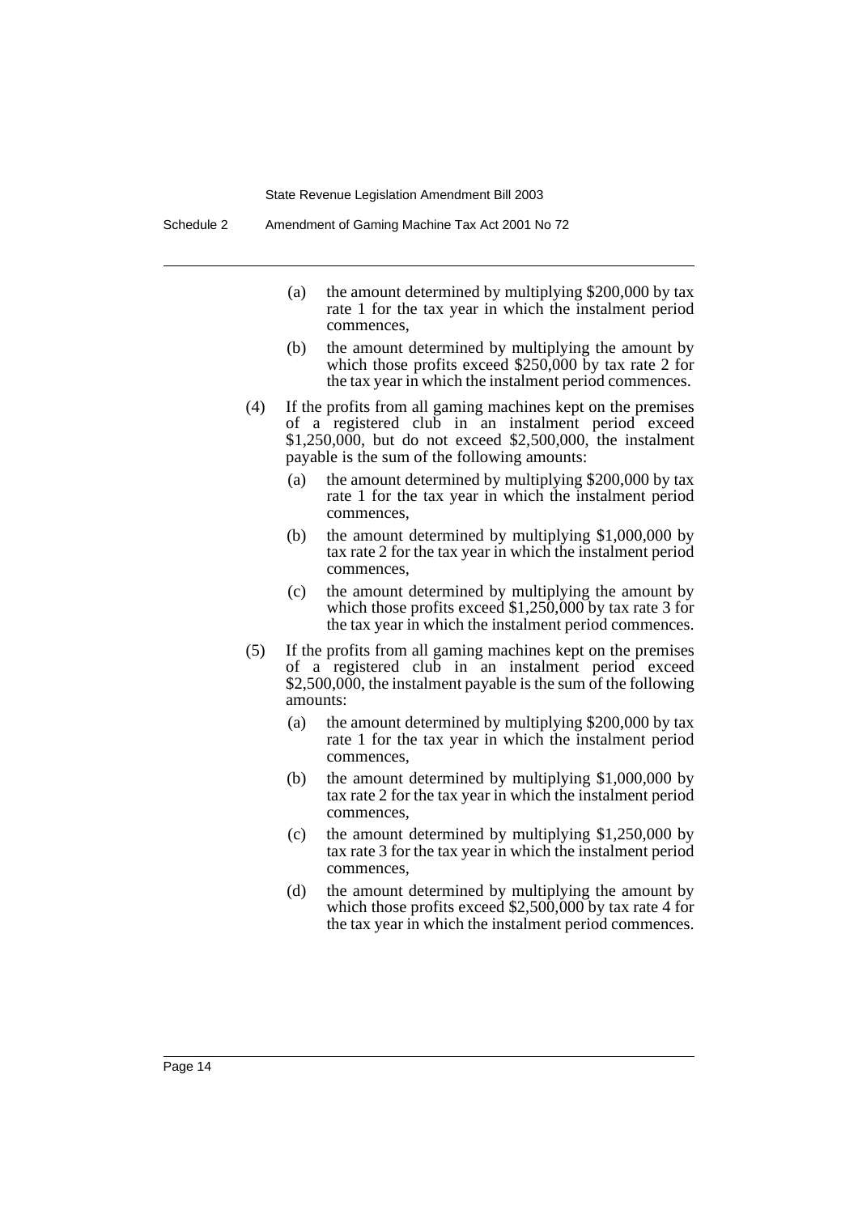- (a) the amount determined by multiplying \$200,000 by tax rate 1 for the tax year in which the instalment period commences,
- (b) the amount determined by multiplying the amount by which those profits exceed \$250,000 by tax rate 2 for the tax year in which the instalment period commences.
- (4) If the profits from all gaming machines kept on the premises of a registered club in an instalment period exceed \$1,250,000, but do not exceed \$2,500,000, the instalment payable is the sum of the following amounts:
	- (a) the amount determined by multiplying \$200,000 by tax rate 1 for the tax year in which the instalment period commences,
	- (b) the amount determined by multiplying \$1,000,000 by tax rate 2 for the tax year in which the instalment period commences,
	- (c) the amount determined by multiplying the amount by which those profits exceed \$1,250,000 by tax rate 3 for the tax year in which the instalment period commences.
- (5) If the profits from all gaming machines kept on the premises of a registered club in an instalment period exceed \$2,500,000, the instalment payable is the sum of the following amounts:
	- (a) the amount determined by multiplying \$200,000 by tax rate 1 for the tax year in which the instalment period commences,
	- (b) the amount determined by multiplying \$1,000,000 by tax rate 2 for the tax year in which the instalment period commences,
	- (c) the amount determined by multiplying \$1,250,000 by tax rate 3 for the tax year in which the instalment period commences,
	- (d) the amount determined by multiplying the amount by which those profits exceed \$2,500,000 by tax rate 4 for the tax year in which the instalment period commences.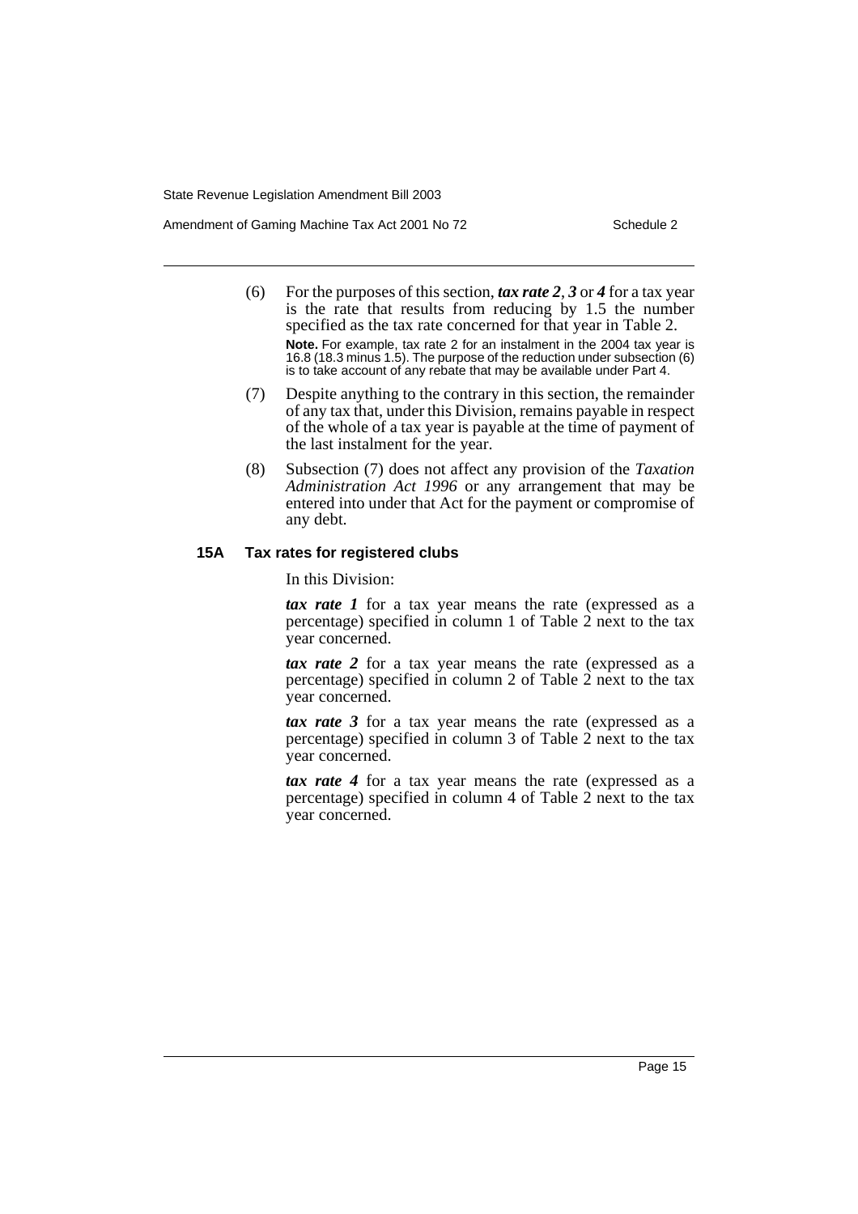Amendment of Gaming Machine Tax Act 2001 No 72 Schedule 2

- (6) For the purposes of this section, *tax rate 2*, *3* or *4* for a tax year is the rate that results from reducing by 1.5 the number specified as the tax rate concerned for that year in Table 2. **Note.** For example, tax rate 2 for an instalment in the 2004 tax year is 16.8 (18.3 minus 1.5). The purpose of the reduction under subsection (6) is to take account of any rebate that may be available under Part 4.
- (7) Despite anything to the contrary in this section, the remainder of any tax that, under this Division, remains payable in respect of the whole of a tax year is payable at the time of payment of the last instalment for the year.
- (8) Subsection (7) does not affect any provision of the *Taxation Administration Act 1996* or any arrangement that may be entered into under that Act for the payment or compromise of any debt.

### **15A Tax rates for registered clubs**

In this Division:

*tax rate 1* for a tax year means the rate (expressed as a percentage) specified in column 1 of Table 2 next to the tax year concerned.

*tax rate 2* for a tax year means the rate (expressed as a percentage) specified in column 2 of Table 2 next to the tax year concerned.

*tax rate 3* for a tax year means the rate (expressed as a percentage) specified in column 3 of Table 2 next to the tax year concerned.

*tax rate 4* for a tax year means the rate (expressed as a percentage) specified in column 4 of Table 2 next to the tax year concerned.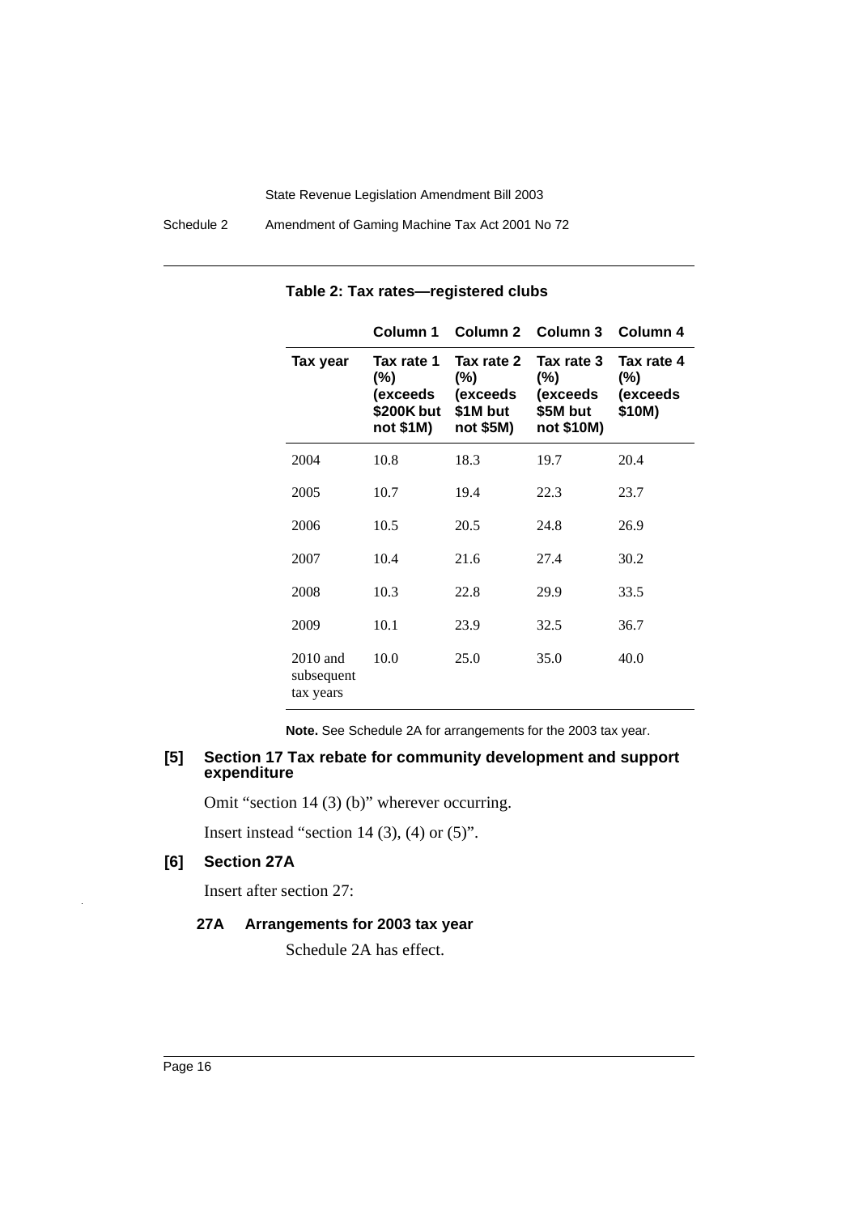Schedule 2 Amendment of Gaming Machine Tax Act 2001 No 72

|                                       | Column 1                                                 |                                                           | Column 2 Column 3 Column 4                                 |                                            |
|---------------------------------------|----------------------------------------------------------|-----------------------------------------------------------|------------------------------------------------------------|--------------------------------------------|
| Tax year                              | Tax rate 1<br>(%)<br>(exceeds<br>\$200K but<br>not \$1M) | Tax rate 2<br>$(\%)$<br>(exceeds<br>\$1M but<br>not \$5M) | Tax rate 3<br>$(\%)$<br>(exceeds<br>\$5M but<br>not \$10M) | Tax rate 4<br>$(\%)$<br>(exceeds<br>\$10M) |
| 2004                                  | 10.8                                                     | 18.3                                                      | 19.7                                                       | 20.4                                       |
| 2005                                  | 10.7                                                     | 19.4                                                      | 22.3                                                       | 23.7                                       |
| 2006                                  | 10.5                                                     | 20.5                                                      | 24.8                                                       | 26.9                                       |
| 2007                                  | 10.4                                                     | 21.6                                                      | 27.4                                                       | 30.2                                       |
| 2008                                  | 10.3                                                     | 22.8                                                      | 29.9                                                       | 33.5                                       |
| 2009                                  | 10.1                                                     | 23.9                                                      | 32.5                                                       | 36.7                                       |
| $2010$ and<br>subsequent<br>tax years | 10.0                                                     | 25.0                                                      | 35.0                                                       | 40.0                                       |

### **Table 2: Tax rates—registered clubs**

**Note.** See Schedule 2A for arrangements for the 2003 tax year.

### **[5] Section 17 Tax rebate for community development and support expenditure**

Omit "section 14 (3) (b)" wherever occurring.

Insert instead "section 14  $(3)$ ,  $(4)$  or  $(5)$ ".

### **[6] Section 27A**

Insert after section 27:

### **27A Arrangements for 2003 tax year**

Schedule 2A has effect.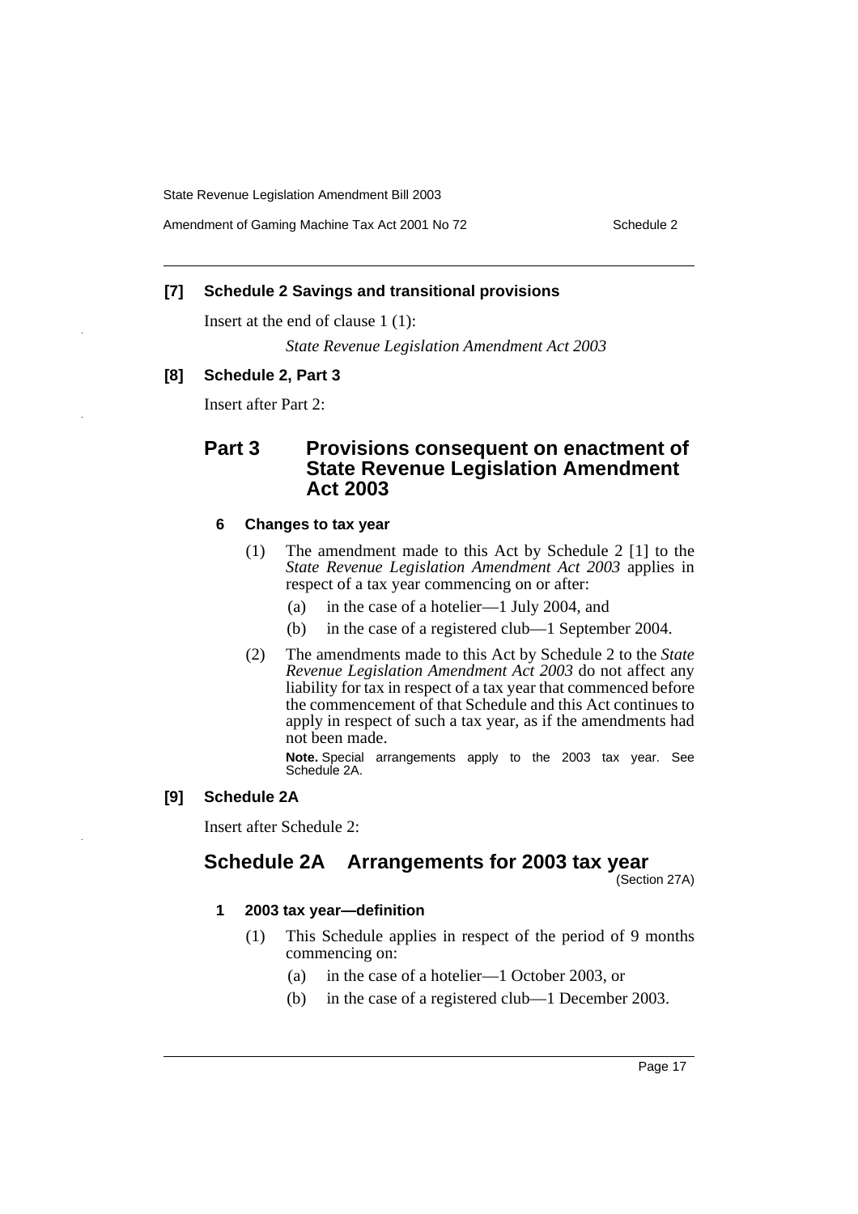Amendment of Gaming Machine Tax Act 2001 No 72 Schedule 2

### **[7] Schedule 2 Savings and transitional provisions**

Insert at the end of clause 1 (1):

*State Revenue Legislation Amendment Act 2003*

### **[8] Schedule 2, Part 3**

Insert after Part 2:

# **Part 3 Provisions consequent on enactment of State Revenue Legislation Amendment Act 2003**

### **6 Changes to tax year**

- (1) The amendment made to this Act by Schedule 2 [1] to the *State Revenue Legislation Amendment Act 2003* applies in respect of a tax year commencing on or after:
	- (a) in the case of a hotelier—1 July 2004, and
	- (b) in the case of a registered club—1 September 2004.
- (2) The amendments made to this Act by Schedule 2 to the *State Revenue Legislation Amendment Act 2003* do not affect any liability for tax in respect of a tax year that commenced before the commencement of that Schedule and this Act continues to apply in respect of such a tax year, as if the amendments had not been made.

**Note.** Special arrangements apply to the 2003 tax year. See Schedule 2A.

### **[9] Schedule 2A**

Insert after Schedule 2:

# **Schedule 2A Arrangements for 2003 tax year**

(Section 27A)

### **1 2003 tax year—definition**

- (1) This Schedule applies in respect of the period of 9 months commencing on:
	- (a) in the case of a hotelier—1 October 2003, or
	- (b) in the case of a registered club—1 December 2003.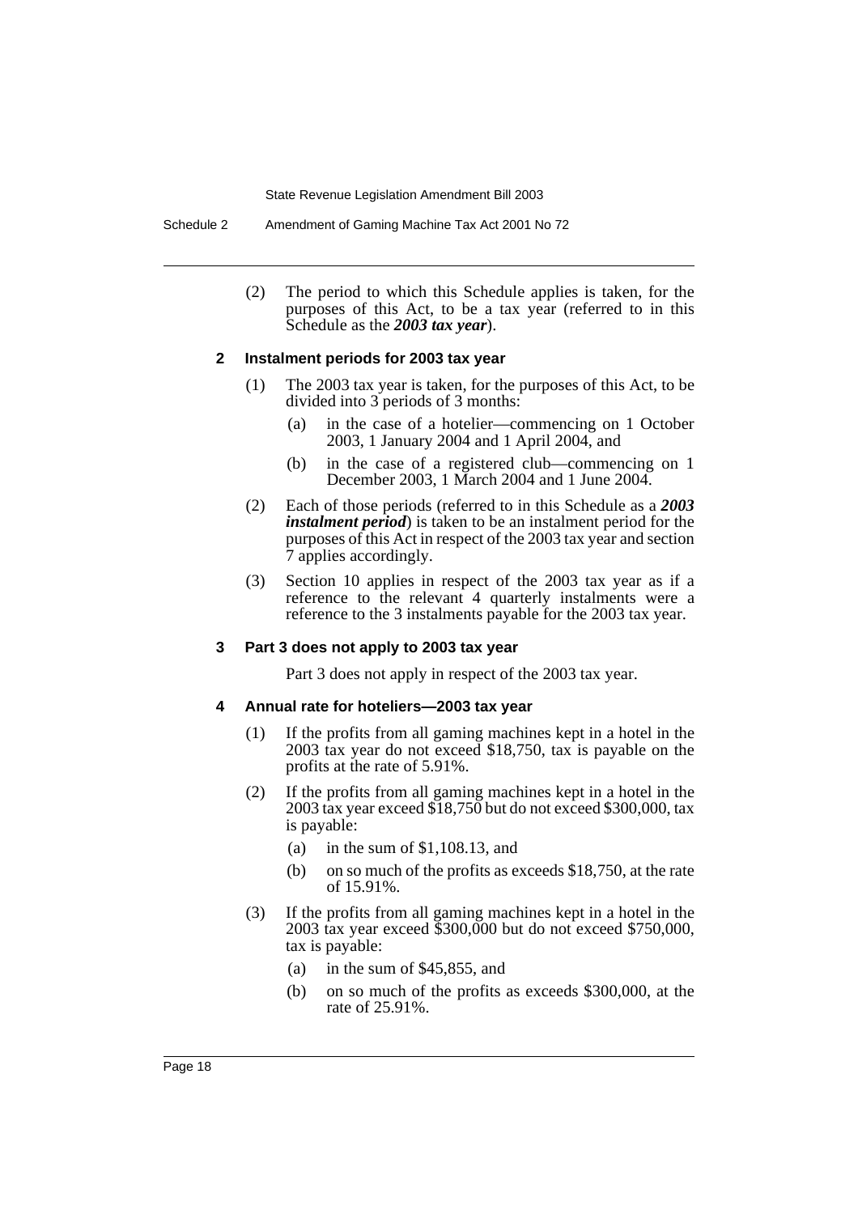Schedule 2 Amendment of Gaming Machine Tax Act 2001 No 72

(2) The period to which this Schedule applies is taken, for the purposes of this Act, to be a tax year (referred to in this Schedule as the *2003 tax year*).

#### **2 Instalment periods for 2003 tax year**

- (1) The 2003 tax year is taken, for the purposes of this Act, to be divided into 3 periods of 3 months:
	- (a) in the case of a hotelier—commencing on 1 October 2003, 1 January 2004 and 1 April 2004, and
	- (b) in the case of a registered club—commencing on 1 December 2003, 1 March 2004 and 1 June 2004.
- (2) Each of those periods (referred to in this Schedule as a *2003 instalment period*) is taken to be an instalment period for the purposes of this Act in respect of the 2003 tax year and section 7 applies accordingly.
- (3) Section 10 applies in respect of the 2003 tax year as if a reference to the relevant 4 quarterly instalments were a reference to the 3 instalments payable for the 2003 tax year.

#### **3 Part 3 does not apply to 2003 tax year**

Part 3 does not apply in respect of the 2003 tax year.

#### **4 Annual rate for hoteliers—2003 tax year**

- (1) If the profits from all gaming machines kept in a hotel in the 2003 tax year do not exceed \$18,750, tax is payable on the profits at the rate of 5.91%.
- (2) If the profits from all gaming machines kept in a hotel in the 2003 tax year exceed \$18,750 but do not exceed \$300,000, tax is payable:
	- (a) in the sum of \$1,108.13, and
	- (b) on so much of the profits as exceeds \$18,750, at the rate of 15.91%.
- (3) If the profits from all gaming machines kept in a hotel in the 2003 tax year exceed \$300,000 but do not exceed \$750,000, tax is payable:
	- (a) in the sum of \$45,855, and
	- (b) on so much of the profits as exceeds \$300,000, at the rate of 25.91%.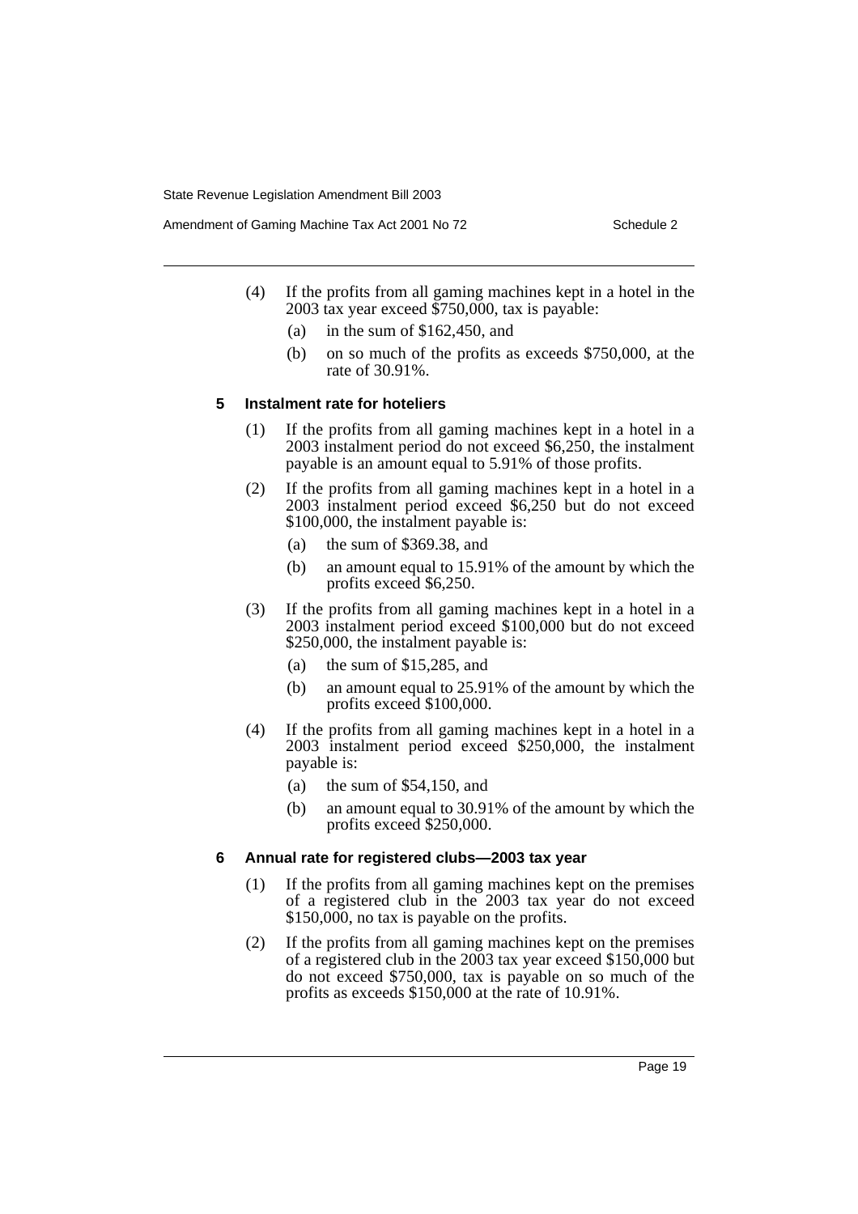Amendment of Gaming Machine Tax Act 2001 No 72 Schedule 2

- (4) If the profits from all gaming machines kept in a hotel in the 2003 tax year exceed \$750,000, tax is payable:
	- (a) in the sum of \$162,450, and
	- (b) on so much of the profits as exceeds \$750,000, at the rate of 30.91%.

### **5 Instalment rate for hoteliers**

- (1) If the profits from all gaming machines kept in a hotel in a 2003 instalment period do not exceed \$6,250, the instalment payable is an amount equal to 5.91% of those profits.
- (2) If the profits from all gaming machines kept in a hotel in a 2003 instalment period exceed \$6,250 but do not exceed \$100,000, the instalment payable is:
	- (a) the sum of \$369.38, and
	- (b) an amount equal to 15.91% of the amount by which the profits exceed \$6,250.
- (3) If the profits from all gaming machines kept in a hotel in a 2003 instalment period exceed \$100,000 but do not exceed \$250,000, the instalment payable is:
	- (a) the sum of \$15,285, and
	- (b) an amount equal to 25.91% of the amount by which the profits exceed \$100,000.
- (4) If the profits from all gaming machines kept in a hotel in a 2003 instalment period exceed \$250,000, the instalment payable is:
	- (a) the sum of  $$54,150$ , and
	- (b) an amount equal to 30.91% of the amount by which the profits exceed \$250,000.

### **6 Annual rate for registered clubs—2003 tax year**

- (1) If the profits from all gaming machines kept on the premises of a registered club in the 2003 tax year do not exceed \$150,000, no tax is payable on the profits.
- (2) If the profits from all gaming machines kept on the premises of a registered club in the 2003 tax year exceed \$150,000 but do not exceed \$750,000, tax is payable on so much of the profits as exceeds \$150,000 at the rate of 10.91%.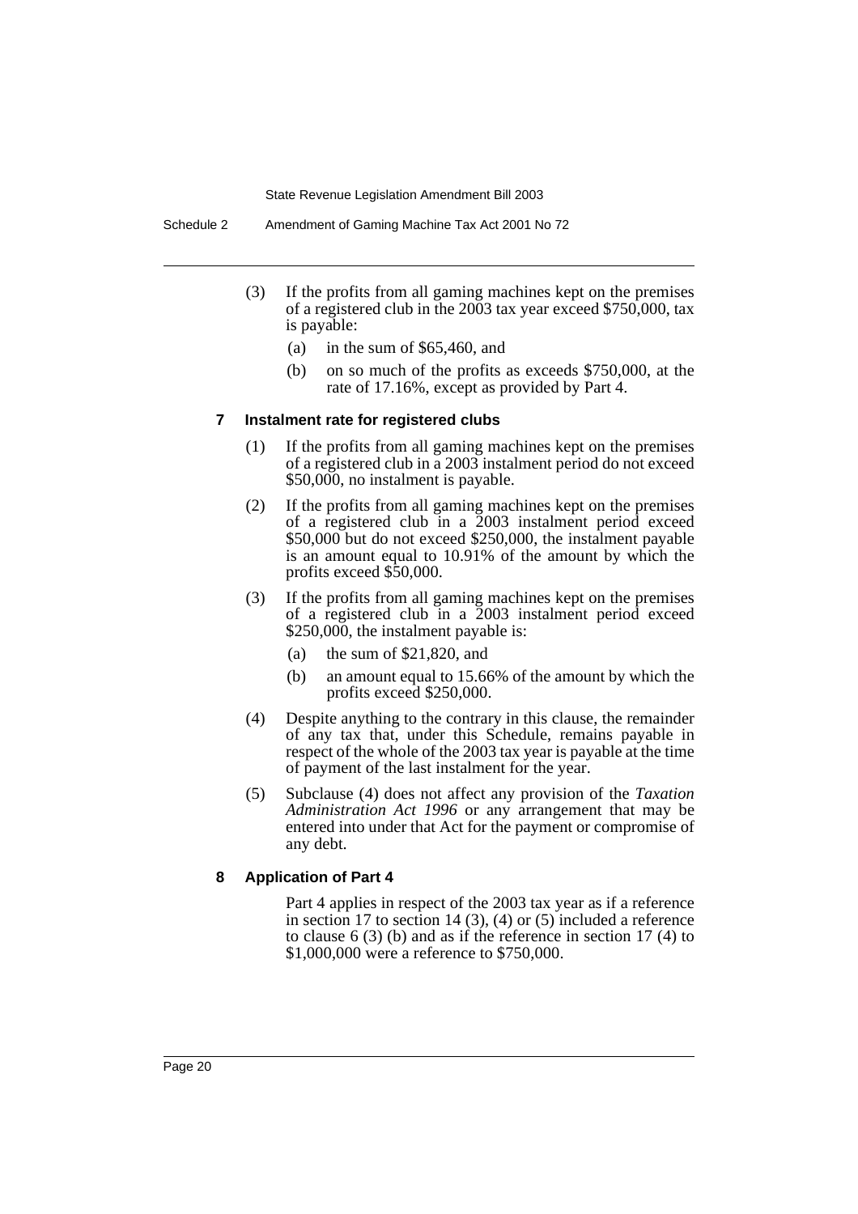- (3) If the profits from all gaming machines kept on the premises of a registered club in the 2003 tax year exceed \$750,000, tax is payable:
	- (a) in the sum of \$65,460, and
	- (b) on so much of the profits as exceeds \$750,000, at the rate of 17.16%, except as provided by Part 4.

#### **7 Instalment rate for registered clubs**

- (1) If the profits from all gaming machines kept on the premises of a registered club in a 2003 instalment period do not exceed \$50,000, no instalment is payable.
- (2) If the profits from all gaming machines kept on the premises of a registered club in a 2003 instalment period exceed \$50,000 but do not exceed \$250,000, the instalment payable is an amount equal to 10.91% of the amount by which the profits exceed \$50,000.
- (3) If the profits from all gaming machines kept on the premises of a registered club in a 2003 instalment period exceed \$250,000, the instalment payable is:
	- (a) the sum of \$21,820, and
	- (b) an amount equal to 15.66% of the amount by which the profits exceed \$250,000.
- (4) Despite anything to the contrary in this clause, the remainder of any tax that, under this Schedule, remains payable in respect of the whole of the 2003 tax year is payable at the time of payment of the last instalment for the year.
- (5) Subclause (4) does not affect any provision of the *Taxation Administration Act 1996* or any arrangement that may be entered into under that Act for the payment or compromise of any debt.

#### **8 Application of Part 4**

Part 4 applies in respect of the 2003 tax year as if a reference in section 17 to section 14 (3), (4) or (5) included a reference to clause 6 (3) (b) and as if the reference in section 17 (4) to \$1,000,000 were a reference to \$750,000.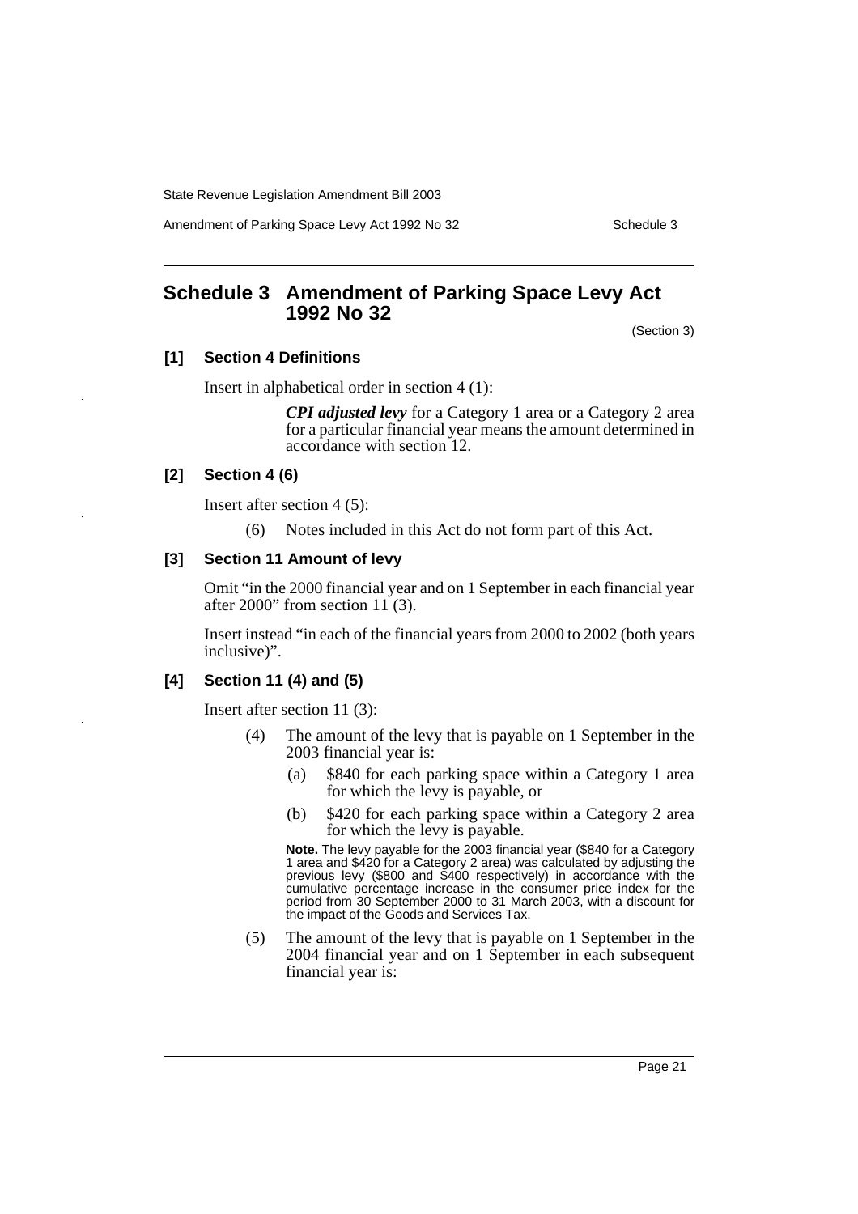Amendment of Parking Space Levy Act 1992 No 32 Schedule 3

# <span id="page-21-0"></span>**Schedule 3 Amendment of Parking Space Levy Act 1992 No 32**

(Section 3)

### **[1] Section 4 Definitions**

Insert in alphabetical order in section 4 (1):

*CPI adjusted levy* for a Category 1 area or a Category 2 area for a particular financial year means the amount determined in accordance with section 12.

### **[2] Section 4 (6)**

Insert after section 4 (5):

(6) Notes included in this Act do not form part of this Act.

#### **[3] Section 11 Amount of levy**

Omit "in the 2000 financial year and on 1 September in each financial year after 2000" from section  $11(3)$ .

Insert instead "in each of the financial years from 2000 to 2002 (both years inclusive)".

### **[4] Section 11 (4) and (5)**

Insert after section 11 (3):

- (4) The amount of the levy that is payable on 1 September in the 2003 financial year is:
	- (a) \$840 for each parking space within a Category 1 area for which the levy is payable, or
	- (b) \$420 for each parking space within a Category 2 area for which the levy is payable.

**Note.** The levy payable for the 2003 financial year (\$840 for a Category 1 area and \$420 for a Category 2 area) was calculated by adjusting the previous levy (\$800 and \$400 respectively) in accordance with the cumulative percentage increase in the consumer price index for the period from 30 September 2000 to 31 March 2003, with a discount for the impact of the Goods and Services Tax.

(5) The amount of the levy that is payable on 1 September in the 2004 financial year and on 1 September in each subsequent financial year is: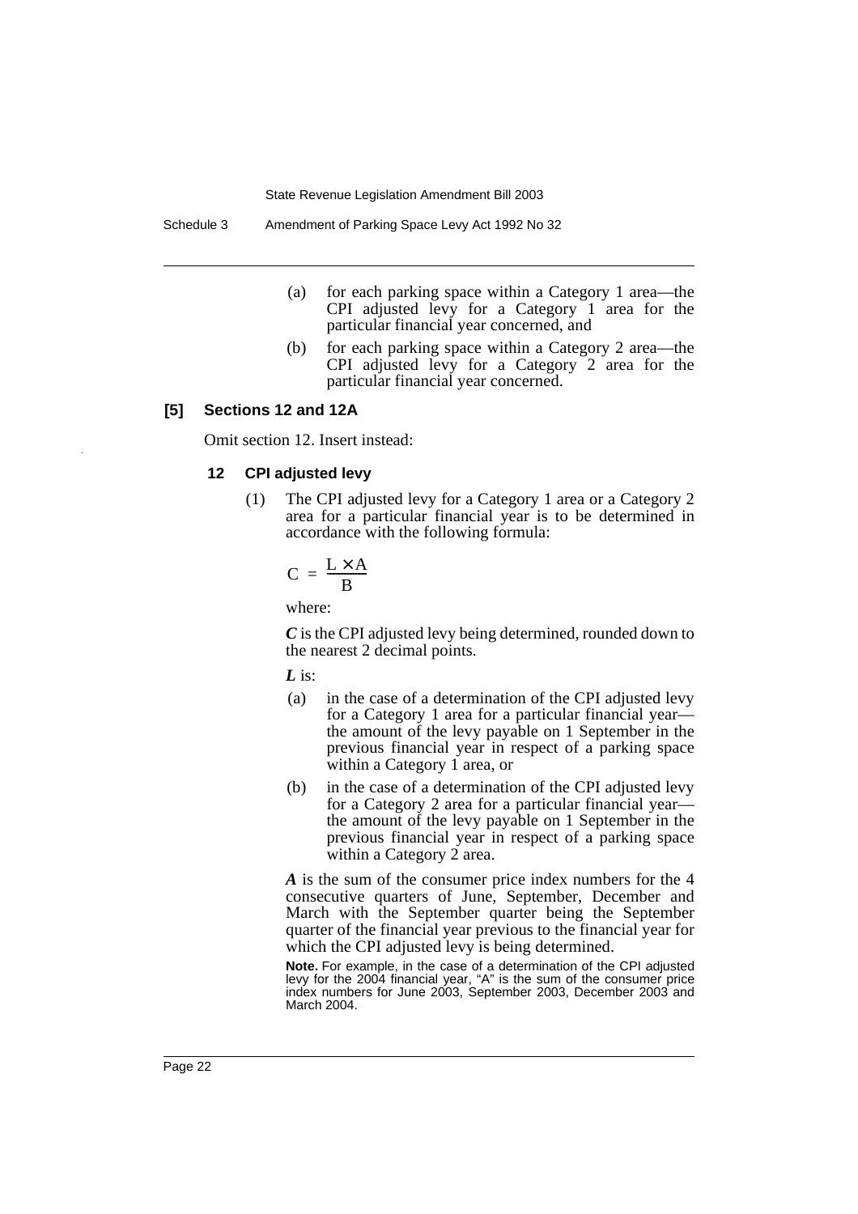- (a) for each parking space within a Category 1 area—the CPI adjusted levy for a Category 1 area for the particular financial year concerned, and
- (b) for each parking space within a Category 2 area—the CPI adjusted levy for a Category 2 area for the particular financial year concerned.

#### **[5] Sections 12 and 12A**

Omit section 12. Insert instead:

#### **12 CPI adjusted levy**

(1) The CPI adjusted levy for a Category 1 area or a Category 2 area for a particular financial year is to be determined in accordance with the following formula:

$$
C = \frac{L \times A}{B}
$$

where:

*C* is the CPI adjusted levy being determined, rounded down to the nearest 2 decimal points.

*L* is:

- (a) in the case of a determination of the CPI adjusted levy for a Category 1 area for a particular financial year the amount of the levy payable on 1 September in the previous financial year in respect of a parking space within a Category 1 area, or
- (b) in the case of a determination of the CPI adjusted levy for a Category 2 area for a particular financial year the amount of the levy payable on 1 September in the previous financial year in respect of a parking space within a Category 2 area.

*A* is the sum of the consumer price index numbers for the 4 consecutive quarters of June, September, December and March with the September quarter being the September quarter of the financial year previous to the financial year for which the CPI adjusted levy is being determined.

**Note.** For example, in the case of a determination of the CPI adjusted levy for the 2004 financial year, "A" is the sum of the consumer price index numbers for June 2003, September 2003, December 2003 and March 2004.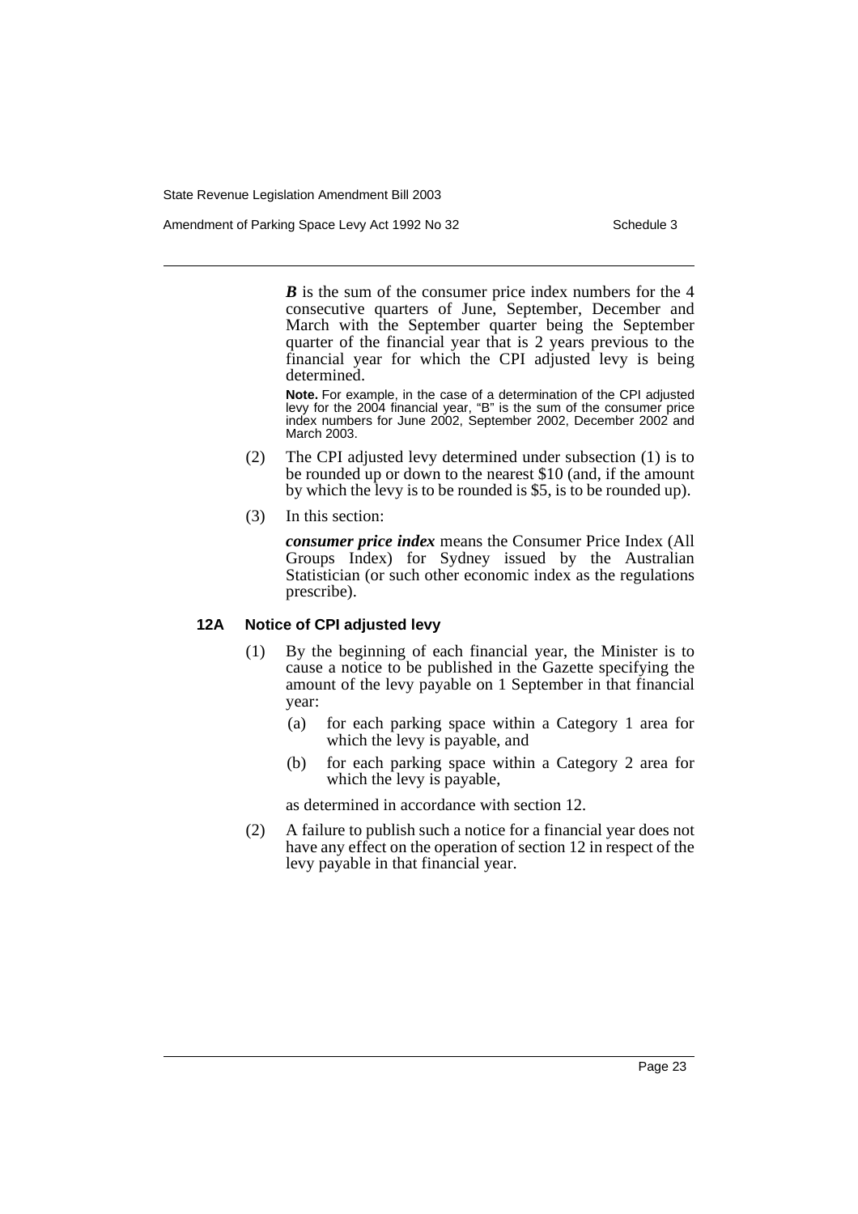Amendment of Parking Space Levy Act 1992 No 32 Schedule 3

*B* is the sum of the consumer price index numbers for the 4 consecutive quarters of June, September, December and March with the September quarter being the September quarter of the financial year that is 2 years previous to the financial year for which the CPI adjusted levy is being determined.

**Note.** For example, in the case of a determination of the CPI adjusted levy for the 2004 financial year, "B" is the sum of the consumer price index numbers for June 2002, September 2002, December 2002 and March 2003.

- (2) The CPI adjusted levy determined under subsection (1) is to be rounded up or down to the nearest \$10 (and, if the amount by which the levy is to be rounded is \$5, is to be rounded up).
- (3) In this section:

*consumer price index* means the Consumer Price Index (All Groups Index) for Sydney issued by the Australian Statistician (or such other economic index as the regulations prescribe).

### **12A Notice of CPI adjusted levy**

- (1) By the beginning of each financial year, the Minister is to cause a notice to be published in the Gazette specifying the amount of the levy payable on 1 September in that financial year:
	- (a) for each parking space within a Category 1 area for which the levy is payable, and
	- (b) for each parking space within a Category 2 area for which the levy is payable,

as determined in accordance with section 12.

(2) A failure to publish such a notice for a financial year does not have any effect on the operation of section 12 in respect of the levy payable in that financial year.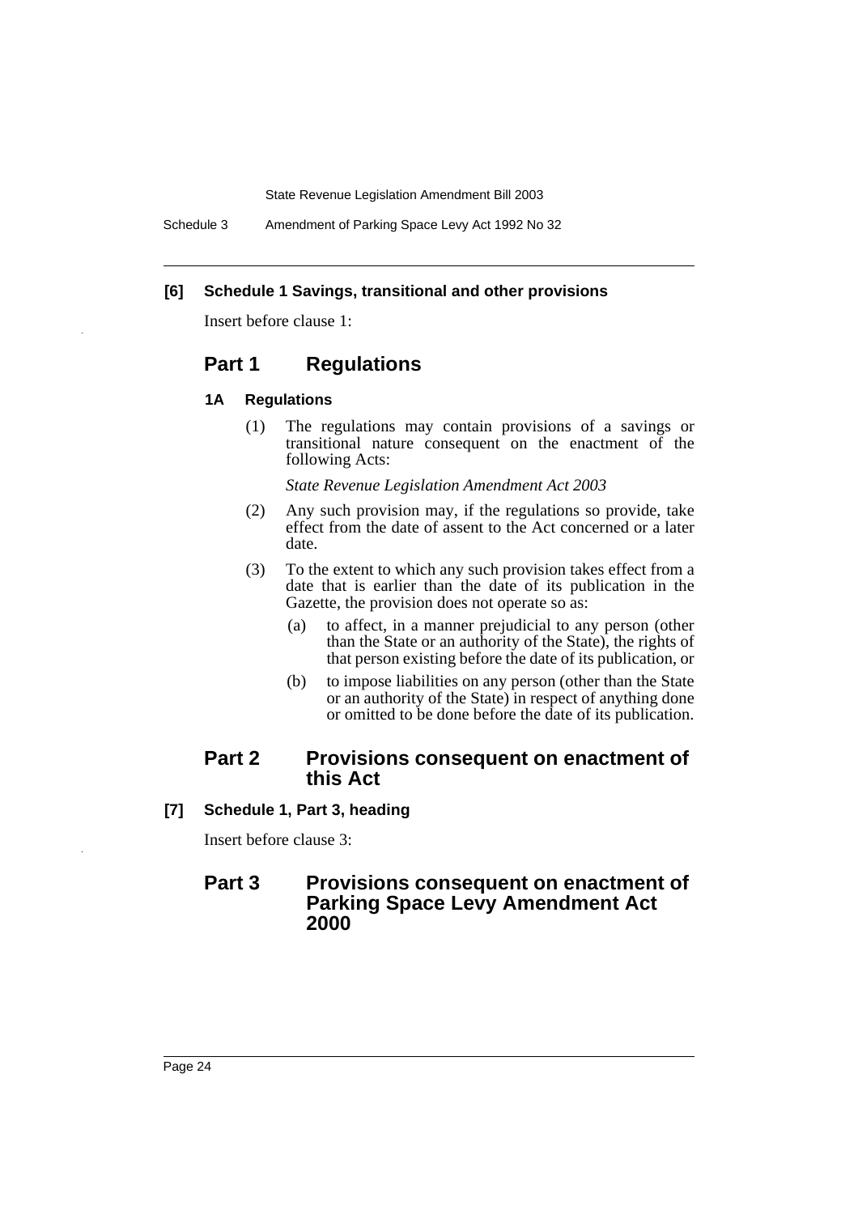Schedule 3 Amendment of Parking Space Levy Act 1992 No 32

### **[6] Schedule 1 Savings, transitional and other provisions**

Insert before clause 1:

# **Part 1 Regulations**

### **1A Regulations**

(1) The regulations may contain provisions of a savings or transitional nature consequent on the enactment of the following Acts:

*State Revenue Legislation Amendment Act 2003*

- (2) Any such provision may, if the regulations so provide, take effect from the date of assent to the Act concerned or a later date.
- (3) To the extent to which any such provision takes effect from a date that is earlier than the date of its publication in the Gazette, the provision does not operate so as:
	- (a) to affect, in a manner prejudicial to any person (other than the State or an authority of the State), the rights of that person existing before the date of its publication, or
	- (b) to impose liabilities on any person (other than the State or an authority of the State) in respect of anything done or omitted to be done before the date of its publication.

### **Part 2 Provisions consequent on enactment of this Act**

**[7] Schedule 1, Part 3, heading**

Insert before clause 3:

## **Part 3 Provisions consequent on enactment of Parking Space Levy Amendment Act 2000**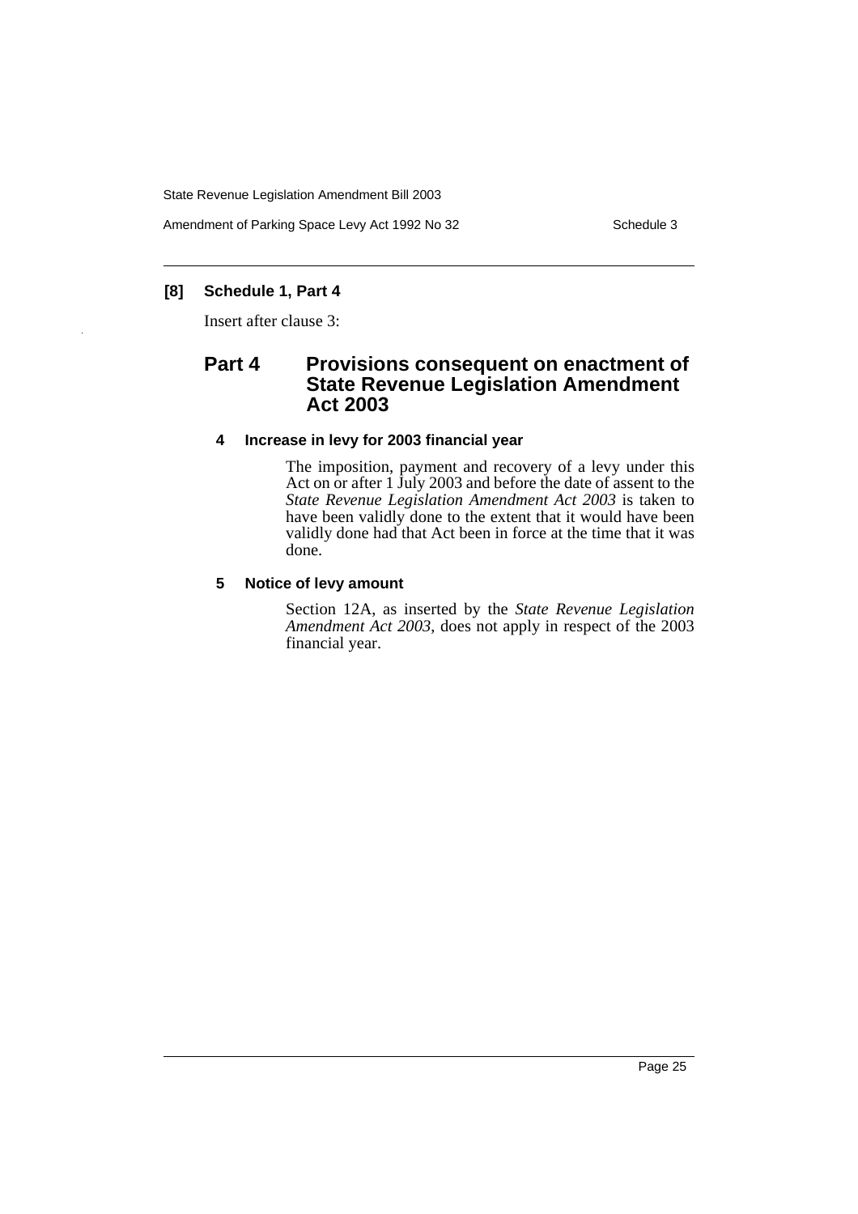Amendment of Parking Space Levy Act 1992 No 32 Schedule 3

## **[8] Schedule 1, Part 4**

Insert after clause 3:

# **Part 4 Provisions consequent on enactment of State Revenue Legislation Amendment Act 2003**

### **4 Increase in levy for 2003 financial year**

The imposition, payment and recovery of a levy under this Act on or after 1 July 2003 and before the date of assent to the *State Revenue Legislation Amendment Act 2003* is taken to have been validly done to the extent that it would have been validly done had that Act been in force at the time that it was done.

### **5 Notice of levy amount**

Section 12A, as inserted by the *State Revenue Legislation Amendment Act 2003*, does not apply in respect of the 2003 financial year.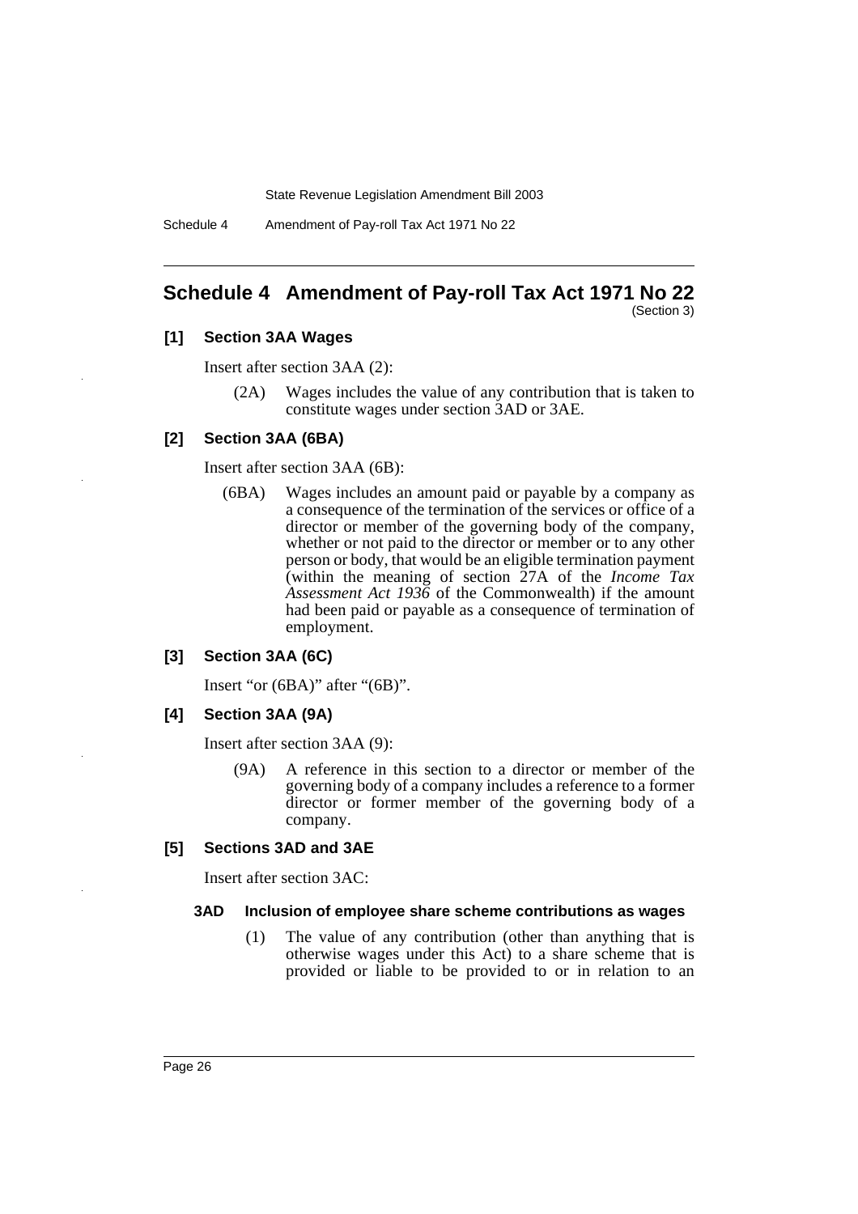Schedule 4 Amendment of Pay-roll Tax Act 1971 No 22

# <span id="page-26-0"></span>**Schedule 4 Amendment of Pay-roll Tax Act 1971 No 22**

#### (Section 3)

### **[1] Section 3AA Wages**

Insert after section 3AA (2):

(2A) Wages includes the value of any contribution that is taken to constitute wages under section 3AD or 3AE.

#### **[2] Section 3AA (6BA)**

Insert after section 3AA (6B):

(6BA) Wages includes an amount paid or payable by a company as a consequence of the termination of the services or office of a director or member of the governing body of the company, whether or not paid to the director or member or to any other person or body, that would be an eligible termination payment (within the meaning of section 27A of the *Income Tax Assessment Act 1936* of the Commonwealth) if the amount had been paid or payable as a consequence of termination of employment.

#### **[3] Section 3AA (6C)**

Insert "or (6BA)" after "(6B)".

#### **[4] Section 3AA (9A)**

Insert after section 3AA (9):

(9A) A reference in this section to a director or member of the governing body of a company includes a reference to a former director or former member of the governing body of a company.

### **[5] Sections 3AD and 3AE**

Insert after section 3AC:

#### **3AD Inclusion of employee share scheme contributions as wages**

(1) The value of any contribution (other than anything that is otherwise wages under this Act) to a share scheme that is provided or liable to be provided to or in relation to an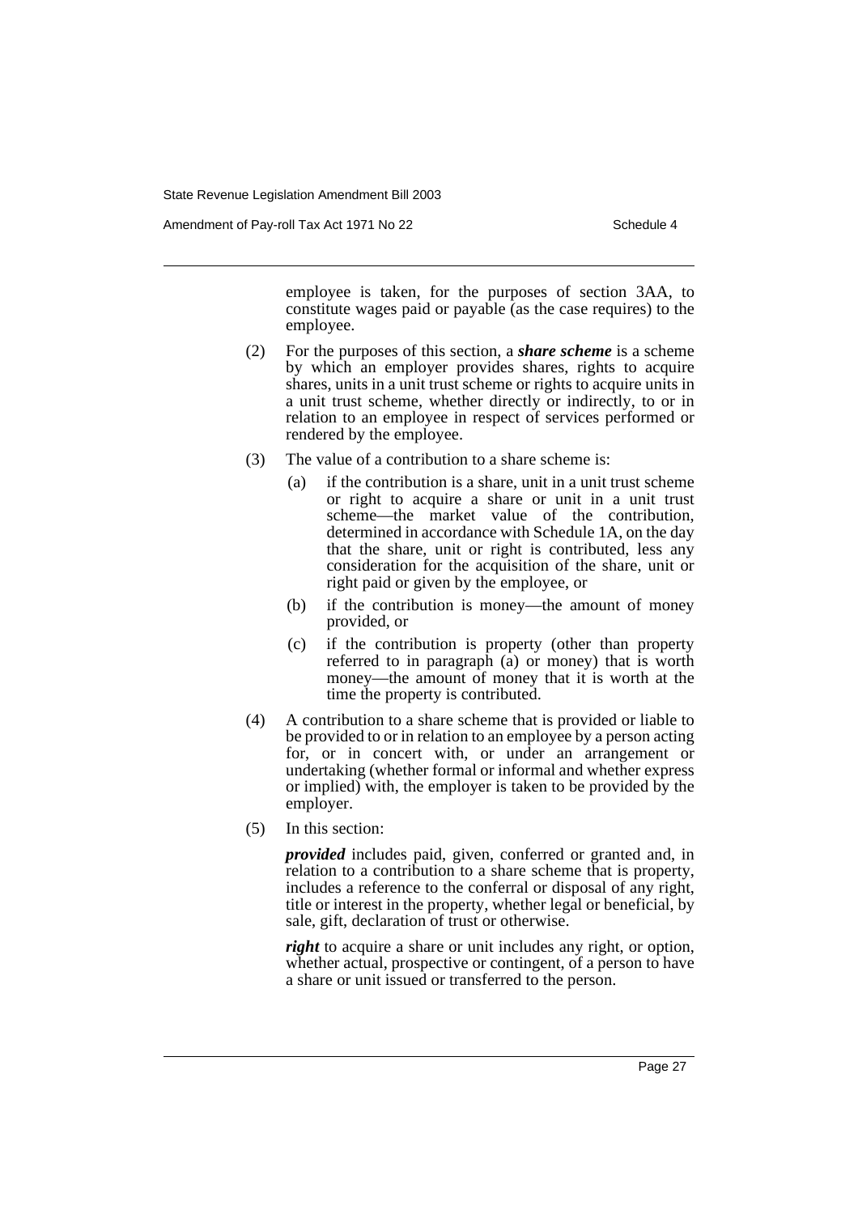Amendment of Pay-roll Tax Act 1971 No 22 Schedule 4

employee is taken, for the purposes of section 3AA, to constitute wages paid or payable (as the case requires) to the employee.

- (2) For the purposes of this section, a *share scheme* is a scheme by which an employer provides shares, rights to acquire shares, units in a unit trust scheme or rights to acquire units in a unit trust scheme, whether directly or indirectly, to or in relation to an employee in respect of services performed or rendered by the employee.
- (3) The value of a contribution to a share scheme is:
	- (a) if the contribution is a share, unit in a unit trust scheme or right to acquire a share or unit in a unit trust scheme—the market value of the contribution, determined in accordance with Schedule 1A, on the day that the share, unit or right is contributed, less any consideration for the acquisition of the share, unit or right paid or given by the employee, or
	- (b) if the contribution is money—the amount of money provided, or
	- (c) if the contribution is property (other than property referred to in paragraph (a) or money) that is worth money—the amount of money that it is worth at the time the property is contributed.
- (4) A contribution to a share scheme that is provided or liable to be provided to or in relation to an employee by a person acting for, or in concert with, or under an arrangement or undertaking (whether formal or informal and whether express or implied) with, the employer is taken to be provided by the employer.
- (5) In this section:

*provided* includes paid, given, conferred or granted and, in relation to a contribution to a share scheme that is property, includes a reference to the conferral or disposal of any right, title or interest in the property, whether legal or beneficial, by sale, gift, declaration of trust or otherwise.

*right* to acquire a share or unit includes any right, or option, whether actual, prospective or contingent, of a person to have a share or unit issued or transferred to the person.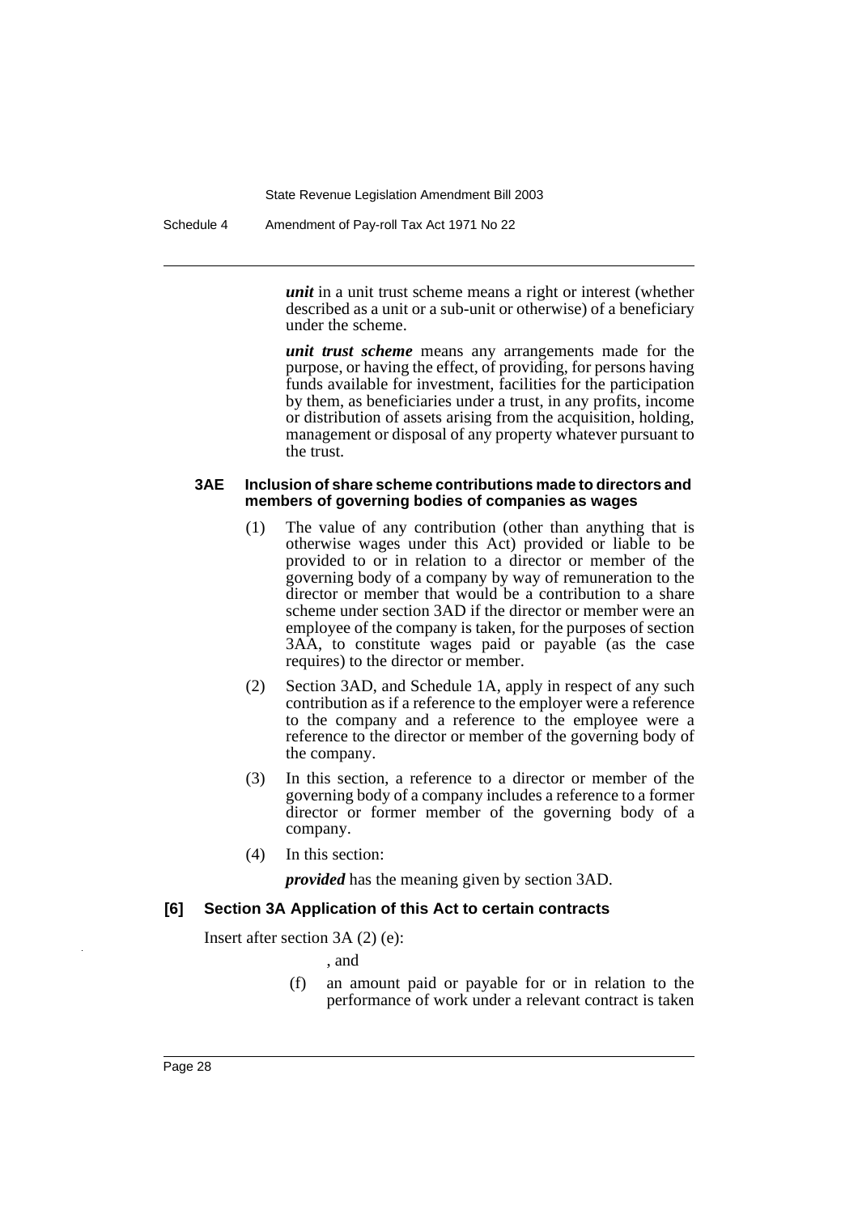Schedule 4 Amendment of Pay-roll Tax Act 1971 No 22

*unit* in a unit trust scheme means a right or interest (whether described as a unit or a sub-unit or otherwise) of a beneficiary under the scheme.

*unit trust scheme* means any arrangements made for the purpose, or having the effect, of providing, for persons having funds available for investment, facilities for the participation by them, as beneficiaries under a trust, in any profits, income or distribution of assets arising from the acquisition, holding, management or disposal of any property whatever pursuant to the trust.

#### **3AE Inclusion of share scheme contributions made to directors and members of governing bodies of companies as wages**

- (1) The value of any contribution (other than anything that is otherwise wages under this Act) provided or liable to be provided to or in relation to a director or member of the governing body of a company by way of remuneration to the director or member that would be a contribution to a share scheme under section 3AD if the director or member were an employee of the company is taken, for the purposes of section 3AA, to constitute wages paid or payable (as the case requires) to the director or member.
- (2) Section 3AD, and Schedule 1A, apply in respect of any such contribution as if a reference to the employer were a reference to the company and a reference to the employee were a reference to the director or member of the governing body of the company.
- (3) In this section, a reference to a director or member of the governing body of a company includes a reference to a former director or former member of the governing body of a company.
- (4) In this section:

*provided* has the meaning given by section 3AD.

### **[6] Section 3A Application of this Act to certain contracts**

Insert after section 3A (2) (e):

- , and
- (f) an amount paid or payable for or in relation to the performance of work under a relevant contract is taken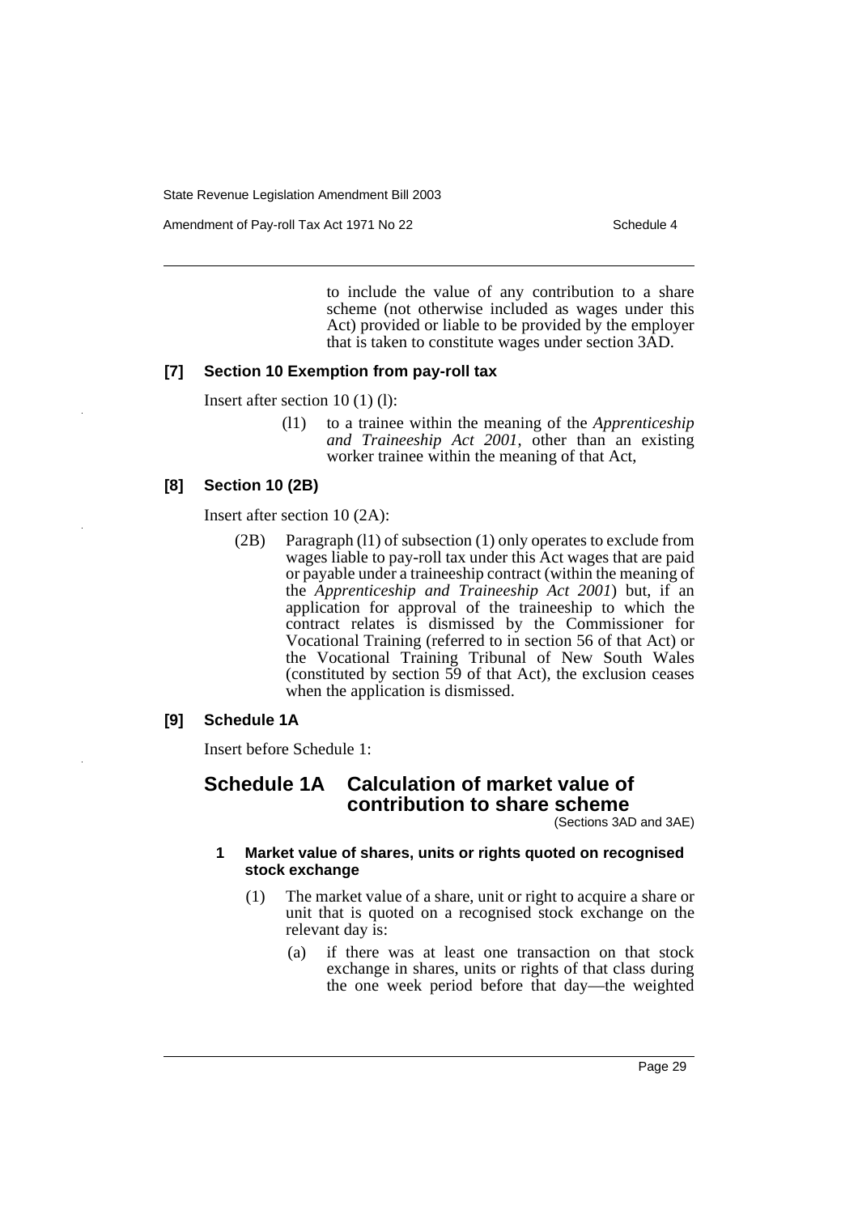Amendment of Pay-roll Tax Act 1971 No 22 Schedule 4

to include the value of any contribution to a share scheme (not otherwise included as wages under this Act) provided or liable to be provided by the employer that is taken to constitute wages under section 3AD.

### **[7] Section 10 Exemption from pay-roll tax**

Insert after section 10 (1) (l):

(l1) to a trainee within the meaning of the *Apprenticeship and Traineeship Act 2001*, other than an existing worker trainee within the meaning of that Act,

#### **[8] Section 10 (2B)**

Insert after section 10 (2A):

(2B) Paragraph (l1) of subsection (1) only operates to exclude from wages liable to pay-roll tax under this Act wages that are paid or payable under a traineeship contract (within the meaning of the *Apprenticeship and Traineeship Act 2001*) but, if an application for approval of the traineeship to which the contract relates is dismissed by the Commissioner for Vocational Training (referred to in section 56 of that Act) or the Vocational Training Tribunal of New South Wales (constituted by section 59 of that Act), the exclusion ceases when the application is dismissed.

### **[9] Schedule 1A**

Insert before Schedule 1:

# **Schedule 1A Calculation of market value of contribution to share scheme**

(Sections 3AD and 3AE)

### **1 Market value of shares, units or rights quoted on recognised stock exchange**

- (1) The market value of a share, unit or right to acquire a share or unit that is quoted on a recognised stock exchange on the relevant day is:
	- (a) if there was at least one transaction on that stock exchange in shares, units or rights of that class during the one week period before that day—the weighted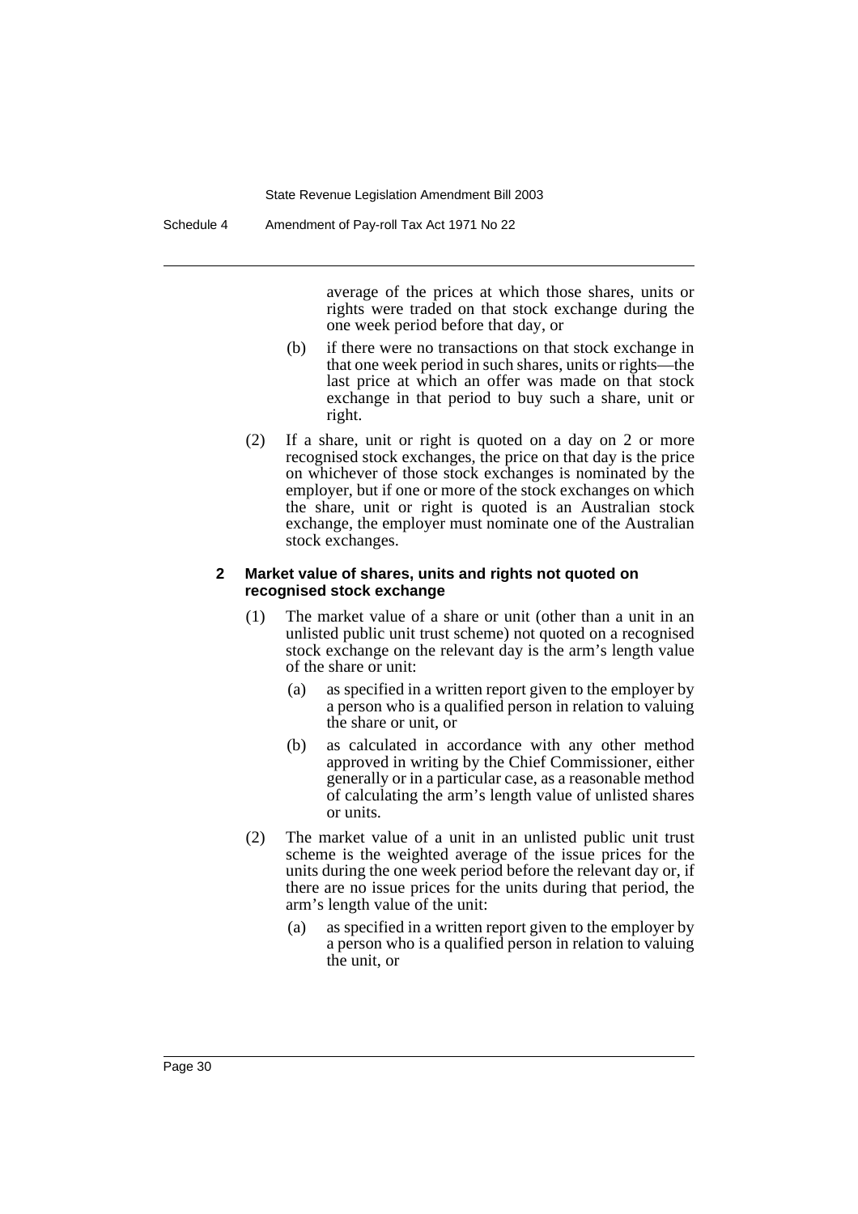average of the prices at which those shares, units or rights were traded on that stock exchange during the one week period before that day, or

- (b) if there were no transactions on that stock exchange in that one week period in such shares, units or rights—the last price at which an offer was made on that stock exchange in that period to buy such a share, unit or right.
- (2) If a share, unit or right is quoted on a day on 2 or more recognised stock exchanges, the price on that day is the price on whichever of those stock exchanges is nominated by the employer, but if one or more of the stock exchanges on which the share, unit or right is quoted is an Australian stock exchange, the employer must nominate one of the Australian stock exchanges.

### **2 Market value of shares, units and rights not quoted on recognised stock exchange**

- (1) The market value of a share or unit (other than a unit in an unlisted public unit trust scheme) not quoted on a recognised stock exchange on the relevant day is the arm's length value of the share or unit:
	- (a) as specified in a written report given to the employer by a person who is a qualified person in relation to valuing the share or unit, or
	- (b) as calculated in accordance with any other method approved in writing by the Chief Commissioner, either generally or in a particular case, as a reasonable method of calculating the arm's length value of unlisted shares or units.
- (2) The market value of a unit in an unlisted public unit trust scheme is the weighted average of the issue prices for the units during the one week period before the relevant day or, if there are no issue prices for the units during that period, the arm's length value of the unit:
	- (a) as specified in a written report given to the employer by a person who is a qualified person in relation to valuing the unit, or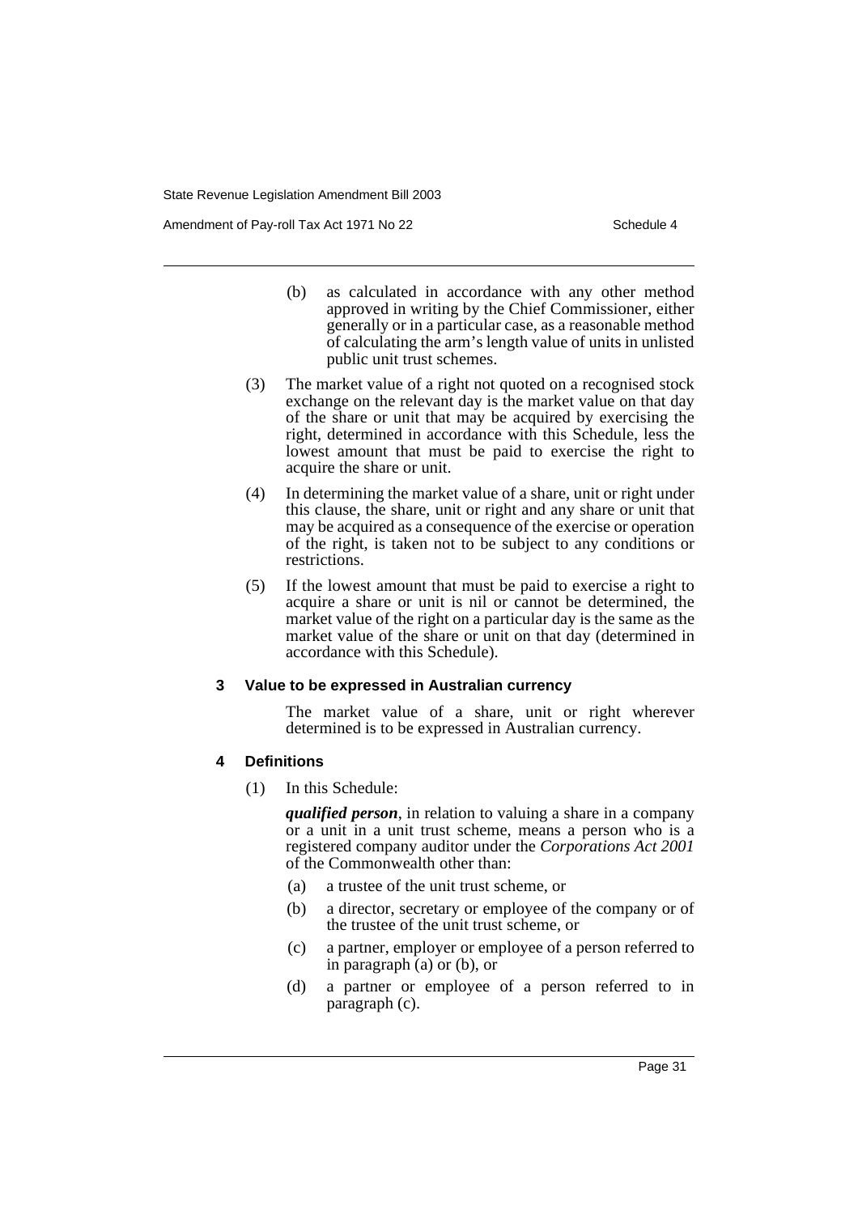Amendment of Pay-roll Tax Act 1971 No 22 Schedule 4

- (b) as calculated in accordance with any other method approved in writing by the Chief Commissioner, either generally or in a particular case, as a reasonable method of calculating the arm's length value of units in unlisted public unit trust schemes.
- (3) The market value of a right not quoted on a recognised stock exchange on the relevant day is the market value on that day of the share or unit that may be acquired by exercising the right, determined in accordance with this Schedule, less the lowest amount that must be paid to exercise the right to acquire the share or unit.
- (4) In determining the market value of a share, unit or right under this clause, the share, unit or right and any share or unit that may be acquired as a consequence of the exercise or operation of the right, is taken not to be subject to any conditions or restrictions.
- (5) If the lowest amount that must be paid to exercise a right to acquire a share or unit is nil or cannot be determined, the market value of the right on a particular day is the same as the market value of the share or unit on that day (determined in accordance with this Schedule).

### **3 Value to be expressed in Australian currency**

The market value of a share, unit or right wherever determined is to be expressed in Australian currency.

### **4 Definitions**

(1) In this Schedule:

*qualified person*, in relation to valuing a share in a company or a unit in a unit trust scheme, means a person who is a registered company auditor under the *Corporations Act 2001* of the Commonwealth other than:

- (a) a trustee of the unit trust scheme, or
- (b) a director, secretary or employee of the company or of the trustee of the unit trust scheme, or
- (c) a partner, employer or employee of a person referred to in paragraph (a) or (b), or
- (d) a partner or employee of a person referred to in paragraph (c).